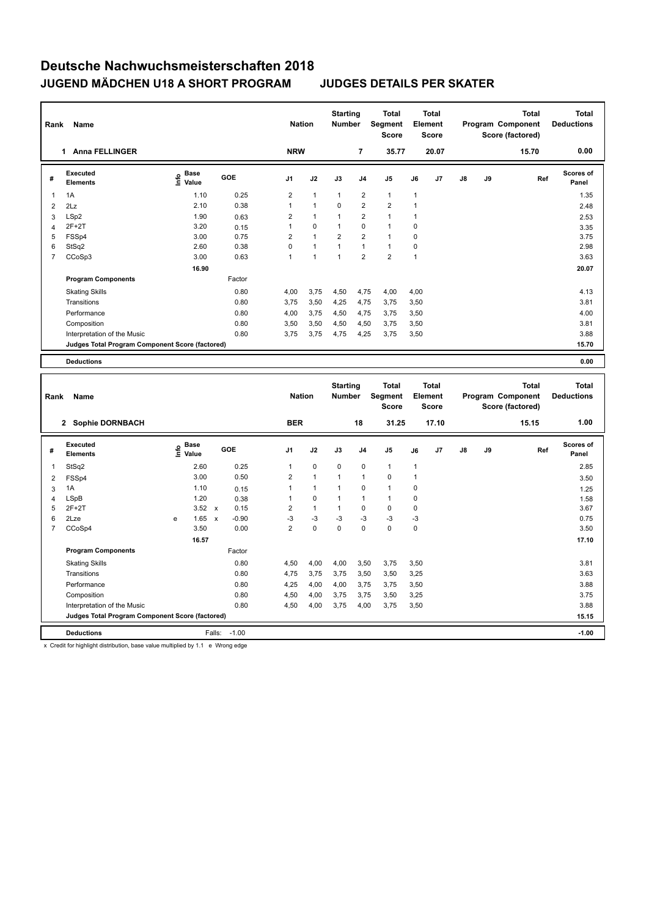| Rank           | Name                                            |                           |        | <b>Nation</b>  |                      | <b>Starting</b><br><b>Number</b> |                | Total<br>Segment<br><b>Score</b> |      | <b>Total</b><br>Element<br><b>Score</b> |               |    | Total<br>Program Component<br>Score (factored) | <b>Total</b><br><b>Deductions</b> |
|----------------|-------------------------------------------------|---------------------------|--------|----------------|----------------------|----------------------------------|----------------|----------------------------------|------|-----------------------------------------|---------------|----|------------------------------------------------|-----------------------------------|
|                | <b>Anna FELLINGER</b><br>1.                     |                           |        | <b>NRW</b>     |                      |                                  | $\overline{7}$ | 35.77                            |      | 20.07                                   |               |    | 15.70                                          | 0.00                              |
| #              | Executed<br><b>Elements</b>                     | Base<br>e Base<br>⊆ Value | GOE    | J <sub>1</sub> | J2                   | J3                               | J <sub>4</sub> | J <sub>5</sub>                   | J6   | J7                                      | $\mathsf{J}8$ | J9 | Ref                                            | <b>Scores of</b><br>Panel         |
| 1              | 1A                                              | 1.10                      | 0.25   | $\overline{2}$ | $\mathbf{1}$         | $\mathbf{1}$                     | $\overline{2}$ | $\mathbf{1}$                     | 1    |                                         |               |    |                                                | 1.35                              |
| $\overline{2}$ | 2Lz                                             | 2.10                      | 0.38   |                | $\blacktriangleleft$ | $\Omega$                         | $\overline{2}$ | $\overline{2}$                   | 1    |                                         |               |    |                                                | 2.48                              |
| 3              | LSp2                                            | 1.90                      | 0.63   | $\overline{2}$ | $\mathbf{1}$         | $\overline{1}$                   | $\overline{2}$ | $\blacktriangleleft$             | 1    |                                         |               |    |                                                | 2.53                              |
| 4              | $2F+2T$                                         | 3.20                      | 0.15   |                | $\mathbf 0$          | 1                                | $\mathbf 0$    | $\mathbf{1}$                     | 0    |                                         |               |    |                                                | 3.35                              |
| 5              | FSSp4                                           | 3.00                      | 0.75   | $\overline{2}$ | $\mathbf{1}$         | $\overline{2}$                   | $\overline{2}$ | $\mathbf{1}$                     | 0    |                                         |               |    |                                                | 3.75                              |
| 6              | StSq2                                           | 2.60                      | 0.38   | 0              | 1                    | 1                                | $\mathbf{1}$   | $\mathbf{1}$                     | 0    |                                         |               |    |                                                | 2.98                              |
| 7              | CCoSp3                                          | 3.00                      | 0.63   | 1              | $\mathbf{1}$         | $\mathbf{1}$                     | $\overline{2}$ | $\overline{2}$                   | 1    |                                         |               |    |                                                | 3.63                              |
|                |                                                 | 16.90                     |        |                |                      |                                  |                |                                  |      |                                         |               |    |                                                | 20.07                             |
|                | <b>Program Components</b>                       |                           | Factor |                |                      |                                  |                |                                  |      |                                         |               |    |                                                |                                   |
|                | <b>Skating Skills</b>                           |                           | 0.80   | 4,00           | 3,75                 | 4,50                             | 4,75           | 4,00                             | 4,00 |                                         |               |    |                                                | 4.13                              |
|                | Transitions                                     |                           | 0.80   | 3,75           | 3,50                 | 4,25                             | 4,75           | 3,75                             | 3,50 |                                         |               |    |                                                | 3.81                              |
|                | Performance                                     |                           | 0.80   | 4,00           | 3,75                 | 4,50                             | 4,75           | 3,75                             | 3,50 |                                         |               |    |                                                | 4.00                              |
|                | Composition                                     |                           | 0.80   | 3,50           | 3,50                 | 4,50                             | 4,50           | 3,75                             | 3,50 |                                         |               |    |                                                | 3.81                              |
|                | Interpretation of the Music                     |                           | 0.80   | 3,75           | 3,75                 | 4,75                             | 4,25           | 3,75                             | 3,50 |                                         |               |    |                                                | 3.88                              |
|                | Judges Total Program Component Score (factored) |                           |        |                |                      |                                  |                |                                  |      |                                         |               |    |                                                | 15.70                             |
|                | <b>Deductions</b>                               |                           |        |                |                      |                                  |                |                                  |      |                                         |               |    |                                                | 0.00                              |

| Rank | Name                                            |   |                                  |                           |            | <b>Nation</b>  |              | <b>Starting</b><br><b>Number</b> |                | <b>Total</b><br>Segment<br><b>Score</b> |                | <b>Total</b><br>Element<br><b>Score</b> |    |    | <b>Total</b><br>Program Component<br>Score (factored) | Total<br><b>Deductions</b> |
|------|-------------------------------------------------|---|----------------------------------|---------------------------|------------|----------------|--------------|----------------------------------|----------------|-----------------------------------------|----------------|-----------------------------------------|----|----|-------------------------------------------------------|----------------------------|
|      | 2 Sophie DORNBACH                               |   |                                  |                           |            | <b>BER</b>     |              |                                  | 18             | 31.25                                   |                | 17.10                                   |    |    | 15.15                                                 | 1.00                       |
| #    | Executed<br><b>Elements</b>                     |   | <b>Base</b><br>e Base<br>⊆ Value |                           | <b>GOE</b> | J <sub>1</sub> | J2           | J3                               | J <sub>4</sub> | J <sub>5</sub>                          | J6             | J <sub>7</sub>                          | J8 | J9 | Ref                                                   | <b>Scores of</b><br>Panel  |
| 1    | StSq2                                           |   | 2.60                             |                           | 0.25       | $\mathbf{1}$   | $\mathbf 0$  | $\mathbf 0$                      | 0              | $\mathbf{1}$                            | $\overline{1}$ |                                         |    |    |                                                       | 2.85                       |
| 2    | FSSp4                                           |   | 3.00                             |                           | 0.50       | $\overline{2}$ | $\mathbf{1}$ | $\mathbf{1}$                     | $\overline{1}$ | 0                                       | $\overline{1}$ |                                         |    |    |                                                       | 3.50                       |
| 3    | 1A                                              |   | 1.10                             |                           | 0.15       | 1              | $\mathbf{1}$ | $\overline{1}$                   | 0              | $\mathbf{1}$                            | 0              |                                         |    |    |                                                       | 1.25                       |
| 4    | LSpB                                            |   | 1.20                             |                           | 0.38       | 1              | $\mathbf 0$  | $\mathbf{1}$                     | 1              | $\mathbf{1}$                            | 0              |                                         |    |    |                                                       | 1.58                       |
| 5    | $2F+2T$                                         |   | 3.52                             | $\mathsf{x}$              | 0.15       | 2              | $\mathbf{1}$ | $\mathbf{1}$                     | 0              | 0                                       | 0              |                                         |    |    |                                                       | 3.67                       |
| 6    | 2Lze                                            | e | 1.65                             | $\boldsymbol{\mathsf{x}}$ | $-0.90$    | $-3$           | $-3$         | $-3$                             | $-3$           | $-3$                                    | -3             |                                         |    |    |                                                       | 0.75                       |
| 7    | CCoSp4                                          |   | 3.50                             |                           | 0.00       | $\overline{2}$ | 0            | $\mathbf 0$                      | $\mathbf 0$    | $\mathbf 0$                             | $\mathbf 0$    |                                         |    |    |                                                       | 3.50                       |
|      |                                                 |   | 16.57                            |                           |            |                |              |                                  |                |                                         |                |                                         |    |    |                                                       | 17.10                      |
|      | <b>Program Components</b>                       |   |                                  |                           | Factor     |                |              |                                  |                |                                         |                |                                         |    |    |                                                       |                            |
|      | <b>Skating Skills</b>                           |   |                                  |                           | 0.80       | 4,50           | 4,00         | 4,00                             | 3,50           | 3,75                                    | 3,50           |                                         |    |    |                                                       | 3.81                       |
|      | Transitions                                     |   |                                  |                           | 0.80       | 4,75           | 3,75         | 3,75                             | 3,50           | 3,50                                    | 3,25           |                                         |    |    |                                                       | 3.63                       |
|      | Performance                                     |   |                                  |                           | 0.80       | 4,25           | 4,00         | 4,00                             | 3,75           | 3,75                                    | 3,50           |                                         |    |    |                                                       | 3.88                       |
|      | Composition                                     |   |                                  |                           | 0.80       | 4,50           | 4,00         | 3,75                             | 3,75           | 3,50                                    | 3,25           |                                         |    |    |                                                       | 3.75                       |
|      | Interpretation of the Music                     |   |                                  |                           | 0.80       | 4,50           | 4,00         | 3,75                             | 4,00           | 3,75                                    | 3,50           |                                         |    |    |                                                       | 3.88                       |
|      | Judges Total Program Component Score (factored) |   |                                  |                           |            |                |              |                                  |                |                                         |                |                                         |    |    |                                                       | 15.15                      |
|      | <b>Deductions</b>                               |   |                                  | Falls:                    | $-1.00$    |                |              |                                  |                |                                         |                |                                         |    |    |                                                       | $-1.00$                    |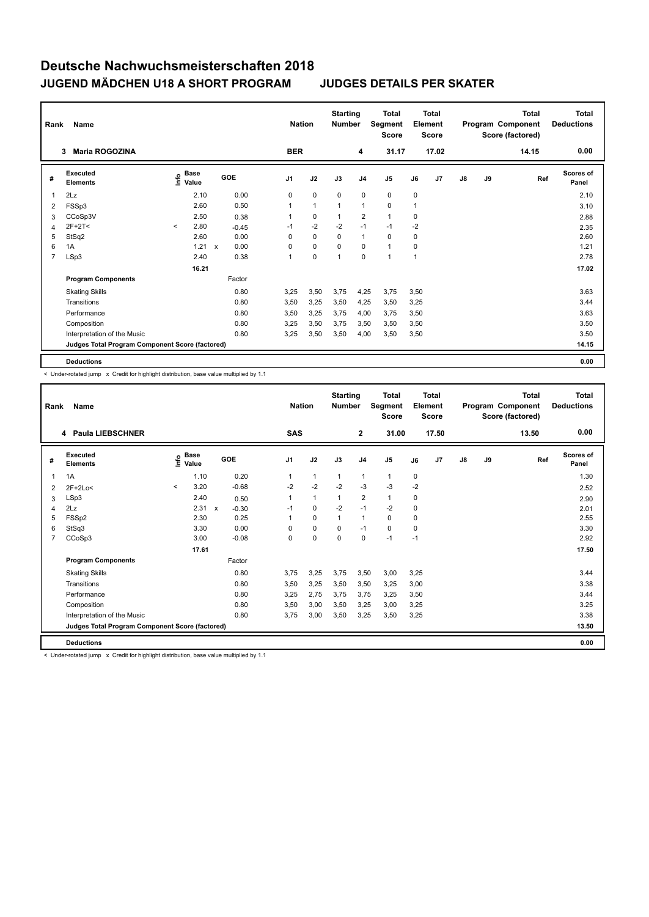| Rank           | Name                                            |         |               |              |         | <b>Nation</b>  |              | <b>Starting</b><br><b>Number</b> |                         | <b>Total</b><br>Segment<br><b>Score</b> |      | <b>Total</b><br>Element<br><b>Score</b> |               |    | <b>Total</b><br>Program Component<br>Score (factored) | <b>Total</b><br><b>Deductions</b> |
|----------------|-------------------------------------------------|---------|---------------|--------------|---------|----------------|--------------|----------------------------------|-------------------------|-----------------------------------------|------|-----------------------------------------|---------------|----|-------------------------------------------------------|-----------------------------------|
|                | <b>Maria ROGOZINA</b><br>3                      |         |               |              |         | <b>BER</b>     |              |                                  | 4                       | 31.17                                   |      | 17.02                                   |               |    | 14.15                                                 | 0.00                              |
| #              | Executed<br><b>Elements</b>                     | lnfo    | Base<br>Value | GOE          |         | J <sub>1</sub> | J2           | J3                               | J <sub>4</sub>          | J <sub>5</sub>                          | J6   | J7                                      | $\mathsf{J}8$ | J9 | Ref                                                   | <b>Scores of</b><br>Panel         |
| 1              | 2Lz                                             |         | 2.10          |              | 0.00    | 0              | $\mathbf 0$  | $\mathbf 0$                      | $\mathbf 0$             | 0                                       | 0    |                                         |               |    |                                                       | 2.10                              |
| 2              | FSSp3                                           |         | 2.60          |              | 0.50    | 1              | $\mathbf{1}$ | 1                                | $\mathbf{1}$            | 0                                       | 1    |                                         |               |    |                                                       | 3.10                              |
| 3              | CCoSp3V                                         |         | 2.50          |              | 0.38    |                | $\mathbf 0$  |                                  | $\overline{\mathbf{c}}$ | $\mathbf{1}$                            | 0    |                                         |               |    |                                                       | 2.88                              |
| 4              | 2F+2T<                                          | $\prec$ | 2.80          |              | $-0.45$ | $-1$           | $-2$         | $-2$                             | $-1$                    | $-1$                                    | $-2$ |                                         |               |    |                                                       | 2.35                              |
| 5              | StSq2                                           |         | 2.60          |              | 0.00    | $\Omega$       | $\mathbf 0$  | $\Omega$                         | $\mathbf{1}$            | $\mathbf 0$                             | 0    |                                         |               |    |                                                       | 2.60                              |
| 6              | 1A                                              |         | 1.21          | $\mathsf{x}$ | 0.00    | 0              | 0            | $\Omega$                         | 0                       | $\mathbf{1}$                            | 0    |                                         |               |    |                                                       | 1.21                              |
| $\overline{7}$ | LSp3                                            |         | 2.40          |              | 0.38    | 1              | $\mathbf 0$  | 1                                | $\mathbf 0$             | $\blacktriangleleft$                    | 1    |                                         |               |    |                                                       | 2.78                              |
|                |                                                 |         | 16.21         |              |         |                |              |                                  |                         |                                         |      |                                         |               |    |                                                       | 17.02                             |
|                | <b>Program Components</b>                       |         |               |              | Factor  |                |              |                                  |                         |                                         |      |                                         |               |    |                                                       |                                   |
|                | <b>Skating Skills</b>                           |         |               |              | 0.80    | 3,25           | 3,50         | 3,75                             | 4,25                    | 3,75                                    | 3,50 |                                         |               |    |                                                       | 3.63                              |
|                | Transitions                                     |         |               |              | 0.80    | 3,50           | 3,25         | 3,50                             | 4,25                    | 3,50                                    | 3,25 |                                         |               |    |                                                       | 3.44                              |
|                | Performance                                     |         |               |              | 0.80    | 3,50           | 3,25         | 3,75                             | 4,00                    | 3,75                                    | 3,50 |                                         |               |    |                                                       | 3.63                              |
|                | Composition                                     |         |               |              | 0.80    | 3,25           | 3,50         | 3,75                             | 3,50                    | 3,50                                    | 3,50 |                                         |               |    |                                                       | 3.50                              |
|                | Interpretation of the Music                     |         |               |              | 0.80    | 3,25           | 3,50         | 3,50                             | 4,00                    | 3,50                                    | 3,50 |                                         |               |    |                                                       | 3.50                              |
|                | Judges Total Program Component Score (factored) |         |               |              |         |                |              |                                  |                         |                                         |      |                                         |               |    |                                                       | 14.15                             |
|                | <b>Deductions</b>                               |         |               |              |         |                |              |                                  |                         |                                         |      |                                         |               |    |                                                       | 0.00                              |

< Under-rotated jump x Credit for highlight distribution, base value multiplied by 1.1

| Rank           | Name                                            |              |                      |              |         | <b>Nation</b>  |              | <b>Starting</b><br><b>Number</b> |                | <b>Total</b><br><b>Segment</b><br><b>Score</b> |      | Total<br>Element<br><b>Score</b> |    |    | Total<br>Program Component<br>Score (factored) | <b>Total</b><br><b>Deductions</b> |
|----------------|-------------------------------------------------|--------------|----------------------|--------------|---------|----------------|--------------|----------------------------------|----------------|------------------------------------------------|------|----------------------------------|----|----|------------------------------------------------|-----------------------------------|
|                | 4 Paula LIEBSCHNER                              |              |                      |              |         | <b>SAS</b>     |              |                                  | $\mathbf{2}$   | 31.00                                          |      | 17.50                            |    |    | 13.50                                          | 0.00                              |
| #              | <b>Executed</b><br><b>Elements</b>              | ۴ů           | <b>Base</b><br>Value |              | GOE     | J <sub>1</sub> | J2           | J3                               | J <sub>4</sub> | J <sub>5</sub>                                 | J6   | J <sub>7</sub>                   | J8 | J9 | Ref                                            | <b>Scores of</b><br>Panel         |
| 1              | 1A                                              |              | 1.10                 |              | 0.20    |                | 1            | 1                                | $\mathbf{1}$   | $\mathbf{1}$                                   | 0    |                                  |    |    |                                                | 1.30                              |
| $\overline{2}$ | $2F+2Lo<$                                       | $\checkmark$ | 3.20                 |              | $-0.68$ | $-2$           | $-2$         | $-2$                             | $-3$           | $-3$                                           | -2   |                                  |    |    |                                                | 2.52                              |
| 3              | LSp3                                            |              | 2.40                 |              | 0.50    | 1              | $\mathbf{1}$ | 1                                | $\overline{2}$ | $\mathbf{1}$                                   | 0    |                                  |    |    |                                                | 2.90                              |
| 4              | 2Lz                                             |              | 2.31                 | $\mathsf{x}$ | $-0.30$ | $-1$           | 0            | $-2$                             | $-1$           | $-2$                                           | 0    |                                  |    |    |                                                | 2.01                              |
| 5              | FSSp2                                           |              | 2.30                 |              | 0.25    |                | 0            | 1                                | 1              | 0                                              | 0    |                                  |    |    |                                                | 2.55                              |
| 6              | StSq3                                           |              | 3.30                 |              | 0.00    | $\Omega$       | $\Omega$     | $\Omega$                         | $-1$           | 0                                              | 0    |                                  |    |    |                                                | 3.30                              |
| 7              | CCoSp3                                          |              | 3.00                 |              | $-0.08$ | 0              | 0            | $\mathbf 0$                      | 0              | $-1$                                           | $-1$ |                                  |    |    |                                                | 2.92                              |
|                |                                                 |              | 17.61                |              |         |                |              |                                  |                |                                                |      |                                  |    |    |                                                | 17.50                             |
|                | <b>Program Components</b>                       |              |                      |              | Factor  |                |              |                                  |                |                                                |      |                                  |    |    |                                                |                                   |
|                | <b>Skating Skills</b>                           |              |                      |              | 0.80    | 3.75           | 3,25         | 3,75                             | 3,50           | 3,00                                           | 3.25 |                                  |    |    |                                                | 3.44                              |
|                | Transitions                                     |              |                      |              | 0.80    | 3,50           | 3,25         | 3,50                             | 3,50           | 3,25                                           | 3,00 |                                  |    |    |                                                | 3.38                              |
|                | Performance                                     |              |                      |              | 0.80    | 3,25           | 2,75         | 3,75                             | 3,75           | 3,25                                           | 3,50 |                                  |    |    |                                                | 3.44                              |
|                | Composition                                     |              |                      |              | 0.80    | 3,50           | 3,00         | 3,50                             | 3,25           | 3,00                                           | 3,25 |                                  |    |    |                                                | 3.25                              |
|                | Interpretation of the Music                     |              |                      |              | 0.80    | 3.75           | 3,00         | 3,50                             | 3,25           | 3,50                                           | 3,25 |                                  |    |    |                                                | 3.38                              |
|                | Judges Total Program Component Score (factored) |              |                      |              |         |                |              |                                  |                |                                                |      |                                  |    |    |                                                | 13.50                             |
|                | <b>Deductions</b>                               |              |                      |              |         |                |              |                                  |                |                                                |      |                                  |    |    |                                                | 0.00                              |

< Under-rotated jump x Credit for highlight distribution, base value multiplied by 1.1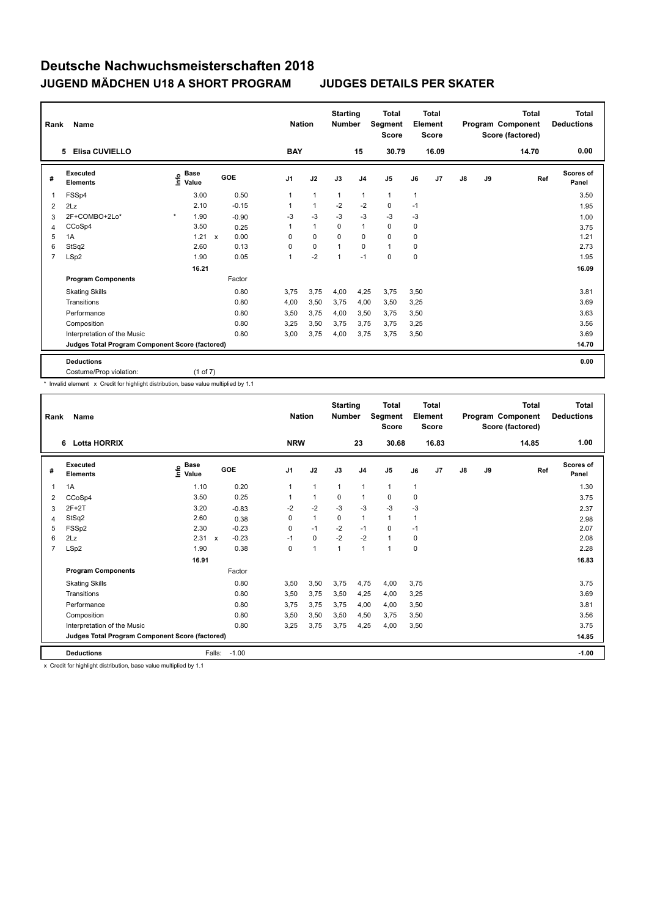| Rank           | Name                                            |                              |                      | <b>Nation</b>  |              | <b>Starting</b><br><b>Number</b> |                | Total<br>Segment<br><b>Score</b> |      | <b>Total</b><br>Element<br><b>Score</b> |               |    | <b>Total</b><br>Program Component<br>Score (factored) | <b>Total</b><br><b>Deductions</b> |
|----------------|-------------------------------------------------|------------------------------|----------------------|----------------|--------------|----------------------------------|----------------|----------------------------------|------|-----------------------------------------|---------------|----|-------------------------------------------------------|-----------------------------------|
|                | <b>Elisa CUVIELLO</b><br>5                      |                              |                      | <b>BAY</b>     |              |                                  | 15             | 30.79                            |      | 16.09                                   |               |    | 14.70                                                 | 0.00                              |
| #              | Executed<br><b>Elements</b>                     | <b>Base</b><br>lnfo<br>Value | GOE                  | J <sub>1</sub> | J2           | J3                               | J <sub>4</sub> | J <sub>5</sub>                   | J6   | J7                                      | $\mathsf{J}8$ | J9 | Ref                                                   | Scores of<br>Panel                |
| 1              | FSSp4                                           | 3.00                         | 0.50                 | 1              | $\mathbf{1}$ | $\mathbf{1}$                     | $\mathbf{1}$   | $\mathbf{1}$                     | 1    |                                         |               |    |                                                       | 3.50                              |
| 2              | 2Lz                                             | 2.10                         | $-0.15$              | 1              | $\mathbf{1}$ | $-2$                             | $-2$           | $\mathbf 0$                      | $-1$ |                                         |               |    |                                                       | 1.95                              |
| 3              | 2F+COMBO+2Lo*                                   | $\star$<br>1.90              | $-0.90$              | $-3$           | $-3$         | $-3$                             | $-3$           | $-3$                             | $-3$ |                                         |               |    |                                                       | 1.00                              |
| 4              | CCoSp4                                          | 3.50                         | 0.25                 | 1              | $\mathbf{1}$ | $\Omega$                         | $\mathbf{1}$   | $\Omega$                         | 0    |                                         |               |    |                                                       | 3.75                              |
| 5              | 1A                                              | 1.21                         | 0.00<br>$\mathsf{x}$ | $\Omega$       | $\Omega$     | $\Omega$                         | 0              | $\mathbf 0$                      | 0    |                                         |               |    |                                                       | 1.21                              |
| 6              | StSq2                                           | 2.60                         | 0.13                 | 0              | $\mathbf 0$  | $\overline{1}$                   | $\Omega$       | $\mathbf{1}$                     | 0    |                                         |               |    |                                                       | 2.73                              |
| $\overline{7}$ | LSp2                                            | 1.90                         | 0.05                 | 1              | $-2$         | $\overline{1}$                   | $-1$           | 0                                | 0    |                                         |               |    |                                                       | 1.95                              |
|                |                                                 | 16.21                        |                      |                |              |                                  |                |                                  |      |                                         |               |    |                                                       | 16.09                             |
|                | <b>Program Components</b>                       |                              | Factor               |                |              |                                  |                |                                  |      |                                         |               |    |                                                       |                                   |
|                | <b>Skating Skills</b>                           |                              | 0.80                 | 3.75           | 3,75         | 4,00                             | 4,25           | 3,75                             | 3,50 |                                         |               |    |                                                       | 3.81                              |
|                | Transitions                                     |                              | 0.80                 | 4,00           | 3,50         | 3,75                             | 4,00           | 3,50                             | 3,25 |                                         |               |    |                                                       | 3.69                              |
|                | Performance                                     |                              | 0.80                 | 3,50           | 3,75         | 4,00                             | 3,50           | 3,75                             | 3,50 |                                         |               |    |                                                       | 3.63                              |
|                | Composition                                     |                              | 0.80                 | 3,25           | 3,50         | 3,75                             | 3,75           | 3,75                             | 3,25 |                                         |               |    |                                                       | 3.56                              |
|                | Interpretation of the Music                     |                              | 0.80                 | 3,00           | 3,75         | 4,00                             | 3,75           | 3,75                             | 3,50 |                                         |               |    |                                                       | 3.69                              |
|                | Judges Total Program Component Score (factored) |                              |                      |                |              |                                  |                |                                  |      |                                         |               |    |                                                       | 14.70                             |
|                | <b>Deductions</b>                               |                              |                      |                |              |                                  |                |                                  |      |                                         |               |    |                                                       | 0.00                              |
|                | Costume/Prop violation:                         | $(1$ of $7)$                 |                      |                |              |                                  |                |                                  |      |                                         |               |    |                                                       |                                   |

\* Invalid element x Credit for highlight distribution, base value multiplied by 1.1

| Rank | Name                                            |                            |                           |            |                | <b>Nation</b> | <b>Starting</b><br><b>Number</b> |                | <b>Total</b><br>Segment<br><b>Score</b> |              | <b>Total</b><br>Element<br><b>Score</b> |               |    | <b>Total</b><br>Program Component<br>Score (factored) | <b>Total</b><br><b>Deductions</b> |
|------|-------------------------------------------------|----------------------------|---------------------------|------------|----------------|---------------|----------------------------------|----------------|-----------------------------------------|--------------|-----------------------------------------|---------------|----|-------------------------------------------------------|-----------------------------------|
|      | <b>Lotta HORRIX</b><br>6                        |                            |                           |            | <b>NRW</b>     |               |                                  | 23             | 30.68                                   |              | 16.83                                   |               |    | 14.85                                                 | 1.00                              |
| #    | Executed<br><b>Elements</b>                     | e Base<br>⊆ Value<br>Value |                           | <b>GOE</b> | J <sub>1</sub> | J2            | J3                               | J <sub>4</sub> | J5                                      | J6           | J7                                      | $\mathsf{J}8$ | J9 | Ref                                                   | Scores of<br>Panel                |
| 1    | 1A                                              | 1.10                       |                           | 0.20       | 1              | $\mathbf{1}$  | $\mathbf{1}$                     | $\mathbf{1}$   | $\mathbf{1}$                            | $\mathbf{1}$ |                                         |               |    |                                                       | 1.30                              |
| 2    | CCoSp4                                          | 3.50                       |                           | 0.25       | 1              | $\mathbf{1}$  | $\Omega$                         | $\mathbf{1}$   | $\Omega$                                | 0            |                                         |               |    |                                                       | 3.75                              |
| 3    | $2F+2T$                                         | 3.20                       |                           | $-0.83$    | $-2$           | $-2$          | -3                               | -3             | $-3$                                    | -3           |                                         |               |    |                                                       | 2.37                              |
| 4    | StSq2                                           | 2.60                       |                           | 0.38       | 0              | $\mathbf{1}$  | $\Omega$                         | $\mathbf{1}$   | 1                                       | 1            |                                         |               |    |                                                       | 2.98                              |
| 5    | FSSp2                                           | 2.30                       |                           | $-0.23$    | $\Omega$       | $-1$          | $-2$                             | $-1$           | 0                                       | $-1$         |                                         |               |    |                                                       | 2.07                              |
| 6    | 2Lz                                             | 2.31                       | $\boldsymbol{\mathsf{x}}$ | $-0.23$    | $-1$           | $\mathbf 0$   | $-2$                             | $-2$           | $\mathbf{1}$                            | 0            |                                         |               |    |                                                       | 2.08                              |
| 7    | LSp2                                            | 1.90                       |                           | 0.38       | 0              | $\mathbf{1}$  | 1                                | $\mathbf{1}$   | 1                                       | $\mathbf 0$  |                                         |               |    |                                                       | 2.28                              |
|      |                                                 | 16.91                      |                           |            |                |               |                                  |                |                                         |              |                                         |               |    |                                                       | 16.83                             |
|      | <b>Program Components</b>                       |                            |                           | Factor     |                |               |                                  |                |                                         |              |                                         |               |    |                                                       |                                   |
|      | <b>Skating Skills</b>                           |                            |                           | 0.80       | 3,50           | 3,50          | 3,75                             | 4,75           | 4,00                                    | 3,75         |                                         |               |    |                                                       | 3.75                              |
|      | Transitions                                     |                            |                           | 0.80       | 3,50           | 3.75          | 3,50                             | 4,25           | 4,00                                    | 3,25         |                                         |               |    |                                                       | 3.69                              |
|      | Performance                                     |                            |                           | 0.80       | 3,75           | 3,75          | 3,75                             | 4,00           | 4,00                                    | 3,50         |                                         |               |    |                                                       | 3.81                              |
|      | Composition                                     |                            |                           | 0.80       | 3,50           | 3,50          | 3,50                             | 4,50           | 3,75                                    | 3,50         |                                         |               |    |                                                       | 3.56                              |
|      | Interpretation of the Music                     |                            |                           | 0.80       | 3.25           | 3.75          | 3.75                             | 4.25           | 4,00                                    | 3,50         |                                         |               |    |                                                       | 3.75                              |
|      | Judges Total Program Component Score (factored) |                            |                           |            |                |               |                                  |                |                                         |              |                                         |               |    |                                                       | 14.85                             |
|      | <b>Deductions</b>                               |                            | Falls:                    | $-1.00$    |                |               |                                  |                |                                         |              |                                         |               |    |                                                       | $-1.00$                           |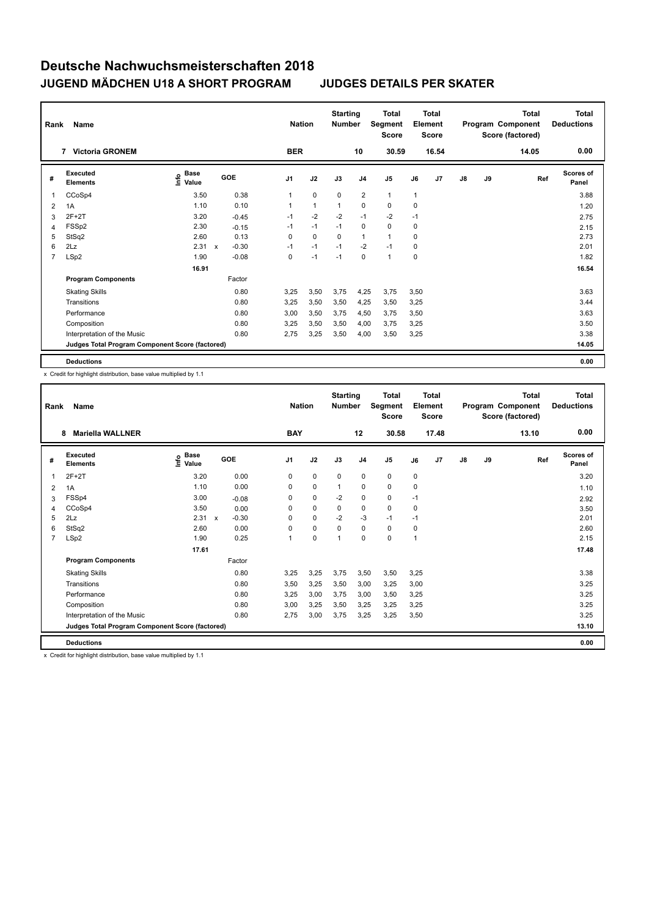| Rank           | Name                                            |                              |                         |                | <b>Nation</b>  | <b>Starting</b><br><b>Number</b> |                | <b>Total</b><br>Segment<br><b>Score</b> |          | <b>Total</b><br>Element<br><b>Score</b> |               |    | <b>Total</b><br>Program Component<br>Score (factored) | <b>Total</b><br><b>Deductions</b> |
|----------------|-------------------------------------------------|------------------------------|-------------------------|----------------|----------------|----------------------------------|----------------|-----------------------------------------|----------|-----------------------------------------|---------------|----|-------------------------------------------------------|-----------------------------------|
|                | <b>Victoria GRONEM</b><br>7                     |                              |                         | <b>BER</b>     |                |                                  | 10             | 30.59                                   |          | 16.54                                   |               |    | 14.05                                                 | 0.00                              |
| #              | Executed<br><b>Elements</b>                     | <b>Base</b><br>lnfo<br>Value | GOE                     | J <sub>1</sub> | J2             | J3                               | J <sub>4</sub> | J <sub>5</sub>                          | J6       | J <sub>7</sub>                          | $\mathsf{J}8$ | J9 | Ref                                                   | <b>Scores of</b><br>Panel         |
| 1              | CCoSp4                                          | 3.50                         | 0.38                    | 1              | $\mathbf 0$    | $\mathbf 0$                      | $\overline{2}$ | $\mathbf{1}$                            | 1        |                                         |               |    |                                                       | 3.88                              |
| 2              | 1A                                              | 1.10                         | 0.10                    | 1              | $\overline{1}$ | $\overline{1}$                   | $\mathbf 0$    | $\mathbf 0$                             | 0        |                                         |               |    |                                                       | 1.20                              |
| 3              | $2F+2T$                                         | 3.20                         | $-0.45$                 | $-1$           | $-2$           | $-2$                             | $-1$           | $-2$                                    | $-1$     |                                         |               |    |                                                       | 2.75                              |
| 4              | FSSp2                                           | 2.30                         | $-0.15$                 | $-1$           | $-1$           | $-1$                             | $\mathbf 0$    | $\mathbf 0$                             | 0        |                                         |               |    |                                                       | 2.15                              |
| 5              | StSq2                                           | 2.60                         | 0.13                    | $\Omega$       | $\Omega$       | $\Omega$                         | $\mathbf{1}$   | $\mathbf{1}$                            | $\Omega$ |                                         |               |    |                                                       | 2.73                              |
| 6              | 2Lz                                             | 2.31                         | $-0.30$<br>$\mathsf{x}$ | $-1$           | $-1$           | $-1$                             | $-2$           | $-1$                                    | 0        |                                         |               |    |                                                       | 2.01                              |
| $\overline{7}$ | LSp2                                            | 1.90                         | $-0.08$                 | 0              | $-1$           | $-1$                             | $\mathbf 0$    | $\mathbf{1}$                            | 0        |                                         |               |    |                                                       | 1.82                              |
|                |                                                 | 16.91                        |                         |                |                |                                  |                |                                         |          |                                         |               |    |                                                       | 16.54                             |
|                | <b>Program Components</b>                       |                              | Factor                  |                |                |                                  |                |                                         |          |                                         |               |    |                                                       |                                   |
|                | <b>Skating Skills</b>                           |                              | 0.80                    | 3.25           | 3,50           | 3,75                             | 4,25           | 3,75                                    | 3,50     |                                         |               |    |                                                       | 3.63                              |
|                | Transitions                                     |                              | 0.80                    | 3,25           | 3,50           | 3,50                             | 4,25           | 3,50                                    | 3,25     |                                         |               |    |                                                       | 3.44                              |
|                | Performance                                     |                              | 0.80                    | 3,00           | 3,50           | 3,75                             | 4,50           | 3.75                                    | 3,50     |                                         |               |    |                                                       | 3.63                              |
|                | Composition                                     |                              | 0.80                    | 3,25           | 3,50           | 3,50                             | 4,00           | 3.75                                    | 3,25     |                                         |               |    |                                                       | 3.50                              |
|                | Interpretation of the Music                     |                              | 0.80                    | 2,75           | 3,25           | 3,50                             | 4,00           | 3,50                                    | 3,25     |                                         |               |    |                                                       | 3.38                              |
|                | Judges Total Program Component Score (factored) |                              |                         |                |                |                                  |                |                                         |          |                                         |               |    |                                                       | 14.05                             |
|                | <b>Deductions</b>                               |                              |                         |                |                |                                  |                |                                         |          |                                         |               |    |                                                       | 0.00                              |

x Credit for highlight distribution, base value multiplied by 1.1

| Rank | Name                                            |                       |                           |         |                | <b>Nation</b> | <b>Starting</b><br><b>Number</b> |                | <b>Total</b><br>Segment<br><b>Score</b> |             | Total<br>Element<br><b>Score</b> |               |    | Total<br>Program Component<br>Score (factored) | <b>Total</b><br><b>Deductions</b> |
|------|-------------------------------------------------|-----------------------|---------------------------|---------|----------------|---------------|----------------------------------|----------------|-----------------------------------------|-------------|----------------------------------|---------------|----|------------------------------------------------|-----------------------------------|
|      | <b>Mariella WALLNER</b><br>8                    |                       |                           |         | <b>BAY</b>     |               |                                  | 12             | 30.58                                   |             | 17.48                            |               |    | 13.10                                          | 0.00                              |
| #    | Executed<br><b>Elements</b>                     | Base<br>lnfo<br>Value |                           | GOE     | J1             | J2            | J3                               | J <sub>4</sub> | J5                                      | J6          | J7                               | $\mathsf{J}8$ | J9 | Ref                                            | <b>Scores of</b><br>Panel         |
|      | $2F+2T$                                         | 3.20                  |                           | 0.00    | 0              | $\mathbf 0$   | $\mathbf 0$                      | $\mathbf 0$    | 0                                       | $\mathbf 0$ |                                  |               |    |                                                | 3.20                              |
| 2    | 1A                                              | 1.10                  |                           | 0.00    | 0              | $\mathbf 0$   | $\mathbf{1}$                     | $\mathbf 0$    | 0                                       | 0           |                                  |               |    |                                                | 1.10                              |
| 3    | FSSp4                                           | 3.00                  |                           | $-0.08$ | 0              | $\mathbf 0$   | $-2$                             | $\mathbf 0$    | 0                                       | $-1$        |                                  |               |    |                                                | 2.92                              |
| 4    | CCoSp4                                          | 3.50                  |                           | 0.00    | 0              | 0             | 0                                | 0              | 0                                       | 0           |                                  |               |    |                                                | 3.50                              |
| 5    | 2Lz                                             | 2.31                  | $\boldsymbol{\mathsf{x}}$ | $-0.30$ | 0              | 0             | $-2$                             | $-3$           | $-1$                                    | $-1$        |                                  |               |    |                                                | 2.01                              |
| 6    | StSq2                                           | 2.60                  |                           | 0.00    | $\Omega$       | $\mathbf 0$   | $\Omega$                         | $\mathbf 0$    | 0                                       | 0           |                                  |               |    |                                                | 2.60                              |
| 7    | LSp2                                            | 1.90                  |                           | 0.25    | $\overline{1}$ | $\mathbf 0$   | $\overline{1}$                   | $\Omega$       | 0                                       | 1           |                                  |               |    |                                                | 2.15                              |
|      |                                                 | 17.61                 |                           |         |                |               |                                  |                |                                         |             |                                  |               |    |                                                | 17.48                             |
|      | <b>Program Components</b>                       |                       |                           | Factor  |                |               |                                  |                |                                         |             |                                  |               |    |                                                |                                   |
|      | <b>Skating Skills</b>                           |                       |                           | 0.80    | 3.25           | 3,25          | 3,75                             | 3,50           | 3,50                                    | 3,25        |                                  |               |    |                                                | 3.38                              |
|      | Transitions                                     |                       |                           | 0.80    | 3,50           | 3,25          | 3,50                             | 3,00           | 3,25                                    | 3,00        |                                  |               |    |                                                | 3.25                              |
|      | Performance                                     |                       |                           | 0.80    | 3.25           | 3.00          | 3.75                             | 3.00           | 3,50                                    | 3,25        |                                  |               |    |                                                | 3.25                              |
|      | Composition                                     |                       |                           | 0.80    | 3.00           | 3,25          | 3.50                             | 3.25           | 3,25                                    | 3,25        |                                  |               |    |                                                | 3.25                              |
|      | Interpretation of the Music                     |                       |                           | 0.80    | 2,75           | 3,00          | 3,75                             | 3,25           | 3,25                                    | 3,50        |                                  |               |    |                                                | 3.25                              |
|      | Judges Total Program Component Score (factored) |                       |                           |         |                |               |                                  |                |                                         |             |                                  |               |    |                                                | 13.10                             |
|      | <b>Deductions</b>                               |                       |                           |         |                |               |                                  |                |                                         |             |                                  |               |    |                                                | 0.00                              |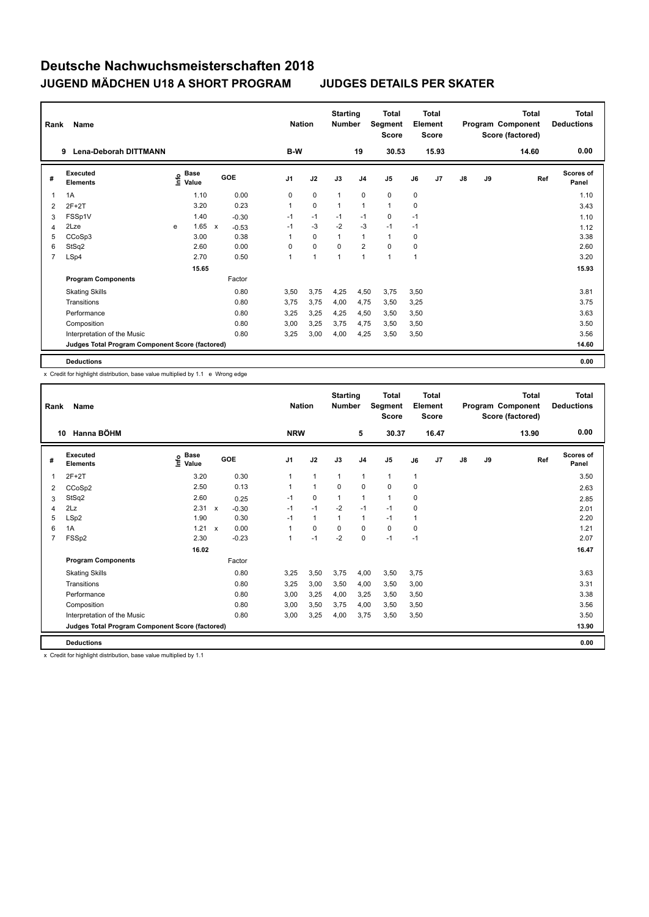| Rank           | Name                                            |   |                                  |              |         |                | <b>Nation</b> | <b>Starting</b><br><b>Number</b> |                | Total<br>Segment<br><b>Score</b> |      | <b>Total</b><br>Element<br><b>Score</b> |               |    | <b>Total</b><br>Program Component<br>Score (factored) | <b>Total</b><br><b>Deductions</b> |
|----------------|-------------------------------------------------|---|----------------------------------|--------------|---------|----------------|---------------|----------------------------------|----------------|----------------------------------|------|-----------------------------------------|---------------|----|-------------------------------------------------------|-----------------------------------|
|                | <b>Lena-Deborah DITTMANN</b><br>9               |   |                                  |              |         | B-W            |               |                                  | 19             | 30.53                            |      | 15.93                                   |               |    | 14.60                                                 | 0.00                              |
| #              | Executed<br><b>Elements</b>                     |   | <b>Base</b><br>o Base<br>⊆ Value |              | GOE     | J <sub>1</sub> | J2            | J3                               | J <sub>4</sub> | J <sub>5</sub>                   | J6   | J7                                      | $\mathsf{J}8$ | J9 | Ref                                                   | <b>Scores of</b><br>Panel         |
| 1              | 1A                                              |   | 1.10                             |              | 0.00    | 0              | $\mathbf 0$   | 1                                | $\mathbf 0$    | 0                                | 0    |                                         |               |    |                                                       | 1.10                              |
| 2              | $2F+2T$                                         |   | 3.20                             |              | 0.23    | 1              | $\mathbf 0$   | 1                                | $\mathbf{1}$   | $\mathbf{1}$                     | 0    |                                         |               |    |                                                       | 3.43                              |
| 3              | FSSp1V                                          |   | 1.40                             |              | $-0.30$ | $-1$           | $-1$          | $-1$                             | $-1$           | 0                                | $-1$ |                                         |               |    |                                                       | 1.10                              |
| 4              | 2Lze                                            | e | 1.65                             | $\mathsf{x}$ | $-0.53$ | $-1$           | $-3$          | $-2$                             | $-3$           | $-1$                             | $-1$ |                                         |               |    |                                                       | 1.12                              |
| 5              | CCoSp3                                          |   | 3.00                             |              | 0.38    | $\mathbf{1}$   | $\mathbf 0$   |                                  | $\mathbf{1}$   | $\mathbf{1}$                     | 0    |                                         |               |    |                                                       | 3.38                              |
| 6              | StSq2                                           |   | 2.60                             |              | 0.00    | 0              | $\mathbf 0$   | 0                                | $\overline{2}$ | $\mathbf 0$                      | 0    |                                         |               |    |                                                       | 2.60                              |
| $\overline{7}$ | LSp4                                            |   | 2.70                             |              | 0.50    | 1              | $\mathbf{1}$  | $\mathbf{1}$                     | $\mathbf{1}$   | 1                                | 1    |                                         |               |    |                                                       | 3.20                              |
|                |                                                 |   | 15.65                            |              |         |                |               |                                  |                |                                  |      |                                         |               |    |                                                       | 15.93                             |
|                | <b>Program Components</b>                       |   |                                  |              | Factor  |                |               |                                  |                |                                  |      |                                         |               |    |                                                       |                                   |
|                | <b>Skating Skills</b>                           |   |                                  |              | 0.80    | 3,50           | 3,75          | 4,25                             | 4,50           | 3,75                             | 3,50 |                                         |               |    |                                                       | 3.81                              |
|                | Transitions                                     |   |                                  |              | 0.80    | 3.75           | 3,75          | 4,00                             | 4,75           | 3,50                             | 3,25 |                                         |               |    |                                                       | 3.75                              |
|                | Performance                                     |   |                                  |              | 0.80    | 3,25           | 3,25          | 4,25                             | 4,50           | 3,50                             | 3,50 |                                         |               |    |                                                       | 3.63                              |
|                | Composition                                     |   |                                  |              | 0.80    | 3,00           | 3,25          | 3,75                             | 4,75           | 3,50                             | 3,50 |                                         |               |    |                                                       | 3.50                              |
|                | Interpretation of the Music                     |   |                                  |              | 0.80    | 3,25           | 3,00          | 4,00                             | 4,25           | 3,50                             | 3,50 |                                         |               |    |                                                       | 3.56                              |
|                | Judges Total Program Component Score (factored) |   |                                  |              |         |                |               |                                  |                |                                  |      |                                         |               |    |                                                       | 14.60                             |
|                | <b>Deductions</b>                               |   |                                  |              |         |                |               |                                  |                |                                  |      |                                         |               |    |                                                       | 0.00                              |

x Credit for highlight distribution, base value multiplied by 1.1 e Wrong edge

| Rank           | Name                                            |                                  |              |         | <b>Nation</b>  |              | <b>Starting</b><br><b>Number</b> |                | <b>Total</b><br>Segment<br><b>Score</b> |      | <b>Total</b><br>Element<br><b>Score</b> |               |    | <b>Total</b><br>Program Component<br>Score (factored) | <b>Total</b><br><b>Deductions</b> |
|----------------|-------------------------------------------------|----------------------------------|--------------|---------|----------------|--------------|----------------------------------|----------------|-----------------------------------------|------|-----------------------------------------|---------------|----|-------------------------------------------------------|-----------------------------------|
| 10             | Hanna BÖHM                                      |                                  |              |         | <b>NRW</b>     |              |                                  | 5              | 30.37                                   |      | 16.47                                   |               |    | 13.90                                                 | 0.00                              |
| #              | Executed<br><b>Elements</b>                     | <b>Base</b><br>e Base<br>⊆ Value |              | GOE     | J <sub>1</sub> | J2           | J3                               | J <sub>4</sub> | J <sub>5</sub>                          | J6   | J7                                      | $\mathsf{J}8$ | J9 | Ref                                                   | <b>Scores of</b><br>Panel         |
| 1              | $2F+2T$                                         | 3.20                             |              | 0.30    |                | $\mathbf{1}$ | $\mathbf{1}$                     | $\mathbf{1}$   | $\mathbf{1}$                            | 1    |                                         |               |    |                                                       | 3.50                              |
| 2              | CCoSp2                                          | 2.50                             |              | 0.13    |                | $\mathbf{1}$ | $\mathbf 0$                      | $\mathbf 0$    | $\mathbf 0$                             | 0    |                                         |               |    |                                                       | 2.63                              |
| 3              | StSq2                                           | 2.60                             |              | 0.25    | $-1$           | $\mathbf 0$  | $\mathbf{1}$                     | $\mathbf{1}$   | $\mathbf{1}$                            | 0    |                                         |               |    |                                                       | 2.85                              |
| $\overline{4}$ | 2Lz                                             | 2.31                             | $\mathsf{x}$ | $-0.30$ | $-1$           | $-1$         | $-2$                             | $-1$           | $-1$                                    | 0    |                                         |               |    |                                                       | 2.01                              |
| 5              | LSp2                                            | 1.90                             |              | 0.30    | $-1$           | $\mathbf{1}$ | $\mathbf{1}$                     | $\mathbf{1}$   | $-1$                                    | 1    |                                         |               |    |                                                       | 2.20                              |
| 6              | 1A                                              | 1.21                             | $\mathsf{x}$ | 0.00    |                | $\mathbf 0$  | $\Omega$                         | $\mathbf 0$    | $\mathbf 0$                             | 0    |                                         |               |    |                                                       | 1.21                              |
| $\overline{7}$ | FSSp2                                           | 2.30                             |              | $-0.23$ |                | $-1$         | $-2$                             | $\mathbf 0$    | $-1$                                    | $-1$ |                                         |               |    |                                                       | 2.07                              |
|                |                                                 | 16.02                            |              |         |                |              |                                  |                |                                         |      |                                         |               |    |                                                       | 16.47                             |
|                | <b>Program Components</b>                       |                                  |              | Factor  |                |              |                                  |                |                                         |      |                                         |               |    |                                                       |                                   |
|                | <b>Skating Skills</b>                           |                                  |              | 0.80    | 3.25           | 3,50         | 3,75                             | 4,00           | 3,50                                    | 3.75 |                                         |               |    |                                                       | 3.63                              |
|                | Transitions                                     |                                  |              | 0.80    | 3,25           | 3,00         | 3,50                             | 4,00           | 3,50                                    | 3,00 |                                         |               |    |                                                       | 3.31                              |
|                | Performance                                     |                                  |              | 0.80    | 3,00           | 3,25         | 4,00                             | 3,25           | 3,50                                    | 3,50 |                                         |               |    |                                                       | 3.38                              |
|                | Composition                                     |                                  |              | 0.80    | 3,00           | 3,50         | 3.75                             | 4,00           | 3,50                                    | 3,50 |                                         |               |    |                                                       | 3.56                              |
|                | Interpretation of the Music                     |                                  |              | 0.80    | 3,00           | 3,25         | 4,00                             | 3,75           | 3,50                                    | 3,50 |                                         |               |    |                                                       | 3.50                              |
|                | Judges Total Program Component Score (factored) |                                  |              |         |                |              |                                  |                |                                         |      |                                         |               |    |                                                       | 13.90                             |
|                | <b>Deductions</b>                               |                                  |              |         |                |              |                                  |                |                                         |      |                                         |               |    |                                                       | 0.00                              |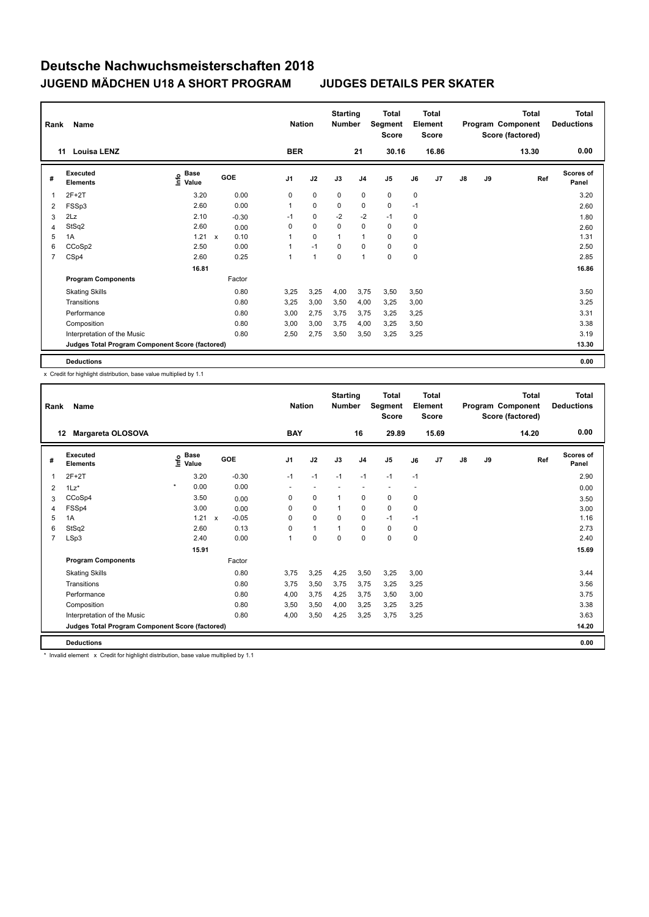| Rank | Name                                            |                           |              |         |                | <b>Nation</b>  | <b>Starting</b><br><b>Number</b> |                | <b>Total</b><br>Segment<br>Score |      | <b>Total</b><br>Element<br><b>Score</b> |    |    | <b>Total</b><br>Program Component<br>Score (factored) | <b>Total</b><br><b>Deductions</b> |
|------|-------------------------------------------------|---------------------------|--------------|---------|----------------|----------------|----------------------------------|----------------|----------------------------------|------|-----------------------------------------|----|----|-------------------------------------------------------|-----------------------------------|
|      | <b>Louisa LENZ</b><br>11                        |                           |              |         | <b>BER</b>     |                |                                  | 21             | 30.16                            |      | 16.86                                   |    |    | 13.30                                                 | 0.00                              |
| #    | <b>Executed</b><br><b>Elements</b>              | Base<br>o Base<br>⊆ Value |              | GOE     | J <sub>1</sub> | J2             | J3                               | J <sub>4</sub> | J <sub>5</sub>                   | J6   | J7                                      | J8 | J9 | Ref                                                   | Scores of<br>Panel                |
| 1    | $2F+2T$                                         | 3.20                      |              | 0.00    | 0              | $\mathbf 0$    | $\mathbf 0$                      | $\mathbf 0$    | $\mathbf 0$                      | 0    |                                         |    |    |                                                       | 3.20                              |
| 2    | FSSp3                                           | 2.60                      |              | 0.00    | 1              | 0              | 0                                | 0              | 0                                | $-1$ |                                         |    |    |                                                       | 2.60                              |
| 3    | 2Lz                                             | 2.10                      |              | $-0.30$ | $-1$           | $\mathbf 0$    | $-2$                             | $-2$           | $-1$                             | 0    |                                         |    |    |                                                       | 1.80                              |
| 4    | StSq2                                           | 2.60                      |              | 0.00    | 0              | $\mathbf 0$    | 0                                | $\mathbf 0$    | $\mathbf 0$                      | 0    |                                         |    |    |                                                       | 2.60                              |
| 5    | 1A                                              | 1.21                      | $\mathsf{x}$ | 0.10    | 1              | $\mathbf 0$    | $\overline{1}$                   | $\mathbf{1}$   | $\mathbf 0$                      | 0    |                                         |    |    |                                                       | 1.31                              |
| 6    | CCoSp2                                          | 2.50                      |              | 0.00    | 1              | $-1$           | $\Omega$                         | $\mathbf 0$    | $\Omega$                         | 0    |                                         |    |    |                                                       | 2.50                              |
| 7    | CSp4                                            | 2.60                      |              | 0.25    | 1              | $\overline{1}$ | $\mathbf 0$                      | $\overline{1}$ | $\mathbf 0$                      | 0    |                                         |    |    |                                                       | 2.85                              |
|      |                                                 | 16.81                     |              |         |                |                |                                  |                |                                  |      |                                         |    |    |                                                       | 16.86                             |
|      | <b>Program Components</b>                       |                           |              | Factor  |                |                |                                  |                |                                  |      |                                         |    |    |                                                       |                                   |
|      | <b>Skating Skills</b>                           |                           |              | 0.80    | 3,25           | 3,25           | 4,00                             | 3,75           | 3,50                             | 3,50 |                                         |    |    |                                                       | 3.50                              |
|      | Transitions                                     |                           |              | 0.80    | 3,25           | 3,00           | 3,50                             | 4,00           | 3,25                             | 3,00 |                                         |    |    |                                                       | 3.25                              |
|      | Performance                                     |                           |              | 0.80    | 3,00           | 2,75           | 3,75                             | 3,75           | 3,25                             | 3,25 |                                         |    |    |                                                       | 3.31                              |
|      | Composition                                     |                           |              | 0.80    | 3,00           | 3,00           | 3,75                             | 4,00           | 3,25                             | 3,50 |                                         |    |    |                                                       | 3.38                              |
|      | Interpretation of the Music                     |                           |              | 0.80    | 2,50           | 2,75           | 3,50                             | 3,50           | 3,25                             | 3,25 |                                         |    |    |                                                       | 3.19                              |
|      | Judges Total Program Component Score (factored) |                           |              |         |                |                |                                  |                |                                  |      |                                         |    |    |                                                       | 13.30                             |
|      | <b>Deductions</b>                               |                           |              |         |                |                |                                  |                |                                  |      |                                         |    |    |                                                       | 0.00                              |

x Credit for highlight distribution, base value multiplied by 1.1

| Rank           | Name                                            |                              |              |         | <b>Nation</b>  |                          | <b>Starting</b><br><b>Number</b> |                          | <b>Total</b><br><b>Segment</b><br><b>Score</b> |      | Total<br>Element<br><b>Score</b> |               |    | <b>Total</b><br>Program Component<br>Score (factored) | <b>Total</b><br><b>Deductions</b> |
|----------------|-------------------------------------------------|------------------------------|--------------|---------|----------------|--------------------------|----------------------------------|--------------------------|------------------------------------------------|------|----------------------------------|---------------|----|-------------------------------------------------------|-----------------------------------|
| 12             | Margareta OLOSOVA                               |                              |              |         | <b>BAY</b>     |                          |                                  | 16                       | 29.89                                          |      | 15.69                            |               |    | 14.20                                                 | 0.00                              |
| #              | Executed<br><b>Elements</b>                     | <b>Base</b><br>lnfo<br>Value |              | GOE     | J <sub>1</sub> | J2                       | J3                               | J <sub>4</sub>           | J <sub>5</sub>                                 | J6   | J <sub>7</sub>                   | $\mathsf{J}8$ | J9 | Ref                                                   | <b>Scores of</b><br>Panel         |
| 1              | $2F+2T$                                         | 3.20                         |              | $-0.30$ | $-1$           | $-1$                     | $-1$                             | $-1$                     | $-1$                                           | $-1$ |                                  |               |    |                                                       | 2.90                              |
| $\overline{2}$ | $1\text{Lz}^*$                                  | $\star$<br>0.00              |              | 0.00    | ٠              | $\overline{\phantom{a}}$ |                                  | $\overline{\phantom{a}}$ |                                                |      |                                  |               |    |                                                       | 0.00                              |
| 3              | CCoSp4                                          | 3.50                         |              | 0.00    | 0              | $\mathbf 0$              | $\mathbf{1}$                     | $\mathbf 0$              | $\mathbf 0$                                    | 0    |                                  |               |    |                                                       | 3.50                              |
| $\overline{4}$ | FSSp4                                           | 3.00                         |              | 0.00    | 0              | $\mathbf 0$              | $\mathbf{1}$                     | $\mathbf 0$              | $\mathbf 0$                                    | 0    |                                  |               |    |                                                       | 3.00                              |
| 5              | 1A                                              | 1.21                         | $\mathsf{x}$ | $-0.05$ | 0              | $\mathbf 0$              | 0                                | 0                        | $-1$                                           | $-1$ |                                  |               |    |                                                       | 1.16                              |
| 6              | StSq2                                           | 2.60                         |              | 0.13    | 0              | $\mathbf{1}$             | $\mathbf{1}$                     | $\mathbf 0$              | $\mathbf 0$                                    | 0    |                                  |               |    |                                                       | 2.73                              |
| 7              | LSp3                                            | 2.40                         |              | 0.00    |                | $\mathbf 0$              | $\mathbf 0$                      | $\mathbf 0$              | $\mathbf 0$                                    | 0    |                                  |               |    |                                                       | 2.40                              |
|                |                                                 | 15.91                        |              |         |                |                          |                                  |                          |                                                |      |                                  |               |    |                                                       | 15.69                             |
|                | <b>Program Components</b>                       |                              |              | Factor  |                |                          |                                  |                          |                                                |      |                                  |               |    |                                                       |                                   |
|                | <b>Skating Skills</b>                           |                              |              | 0.80    | 3.75           | 3,25                     | 4.25                             | 3,50                     | 3,25                                           | 3.00 |                                  |               |    |                                                       | 3.44                              |
|                | Transitions                                     |                              |              | 0.80    | 3,75           | 3,50                     | 3,75                             | 3,75                     | 3,25                                           | 3,25 |                                  |               |    |                                                       | 3.56                              |
|                | Performance                                     |                              |              | 0.80    | 4,00           | 3,75                     | 4,25                             | 3,75                     | 3,50                                           | 3,00 |                                  |               |    |                                                       | 3.75                              |
|                | Composition                                     |                              |              | 0.80    | 3,50           | 3,50                     | 4,00                             | 3,25                     | 3,25                                           | 3,25 |                                  |               |    |                                                       | 3.38                              |
|                | Interpretation of the Music                     |                              |              | 0.80    | 4,00           | 3,50                     | 4,25                             | 3,25                     | 3,75                                           | 3,25 |                                  |               |    |                                                       | 3.63                              |
|                | Judges Total Program Component Score (factored) |                              |              |         |                |                          |                                  |                          |                                                |      |                                  |               |    |                                                       | 14.20                             |
|                | <b>Deductions</b>                               |                              |              |         |                |                          |                                  |                          |                                                |      |                                  |               |    |                                                       | 0.00                              |

\* Invalid element x Credit for highlight distribution, base value multiplied by 1.1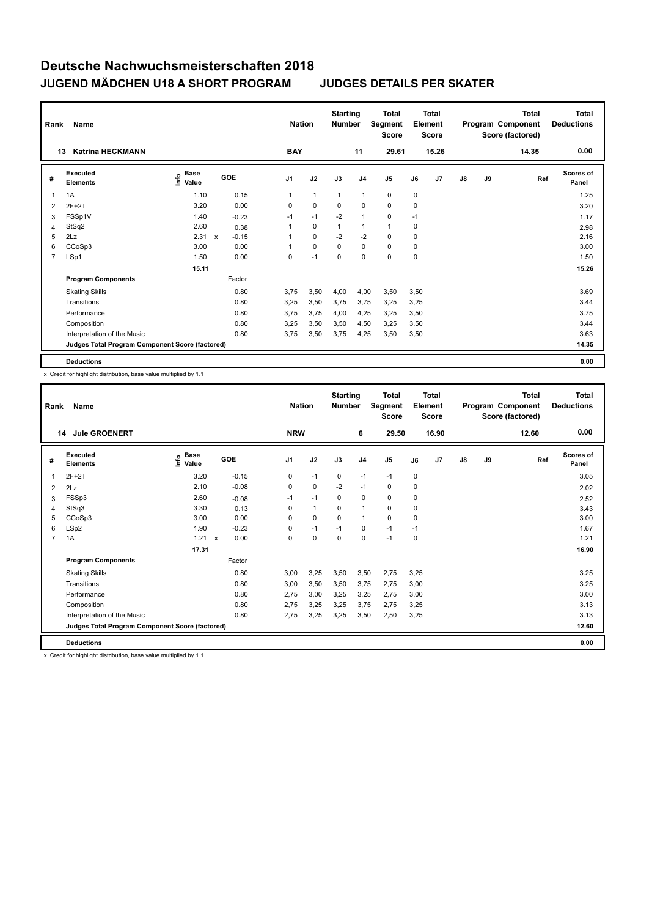| Rank           | Name                                            |                                    |              |         | <b>Nation</b>  |              | <b>Starting</b><br><b>Number</b> |                | <b>Total</b><br>Segment<br><b>Score</b> |      | <b>Total</b><br>Element<br><b>Score</b> |    |    | <b>Total</b><br>Program Component<br>Score (factored) | <b>Total</b><br><b>Deductions</b> |
|----------------|-------------------------------------------------|------------------------------------|--------------|---------|----------------|--------------|----------------------------------|----------------|-----------------------------------------|------|-----------------------------------------|----|----|-------------------------------------------------------|-----------------------------------|
|                | <b>Katrina HECKMANN</b><br>13                   |                                    |              |         | <b>BAY</b>     |              |                                  | 11             | 29.61                                   |      | 15.26                                   |    |    | 14.35                                                 | 0.00                              |
| #              | Executed<br><b>Elements</b>                     | <b>Base</b><br>$\frac{6}{5}$ Value | GOE          |         | J <sub>1</sub> | J2           | J3                               | J <sub>4</sub> | J <sub>5</sub>                          | J6   | J <sub>7</sub>                          | J8 | J9 | Ref                                                   | <b>Scores of</b><br>Panel         |
| 1              | 1A                                              | 1.10                               |              | 0.15    |                | $\mathbf{1}$ | $\mathbf{1}$                     | $\mathbf{1}$   | 0                                       | 0    |                                         |    |    |                                                       | 1.25                              |
| 2              | $2F+2T$                                         | 3.20                               |              | 0.00    | 0              | $\mathbf 0$  | 0                                | $\mathbf 0$    | $\mathbf 0$                             | 0    |                                         |    |    |                                                       | 3.20                              |
| 3              | FSSp1V                                          | 1.40                               |              | $-0.23$ | $-1$           | $-1$         | $-2$                             | $\mathbf{1}$   | $\mathbf 0$                             | $-1$ |                                         |    |    |                                                       | 1.17                              |
| 4              | StSq2                                           | 2.60                               |              | 0.38    |                | $\mathbf 0$  | $\mathbf{1}$                     | $\mathbf{1}$   | 1                                       | 0    |                                         |    |    |                                                       | 2.98                              |
| 5              | 2Lz                                             | 2.31                               | $\mathsf{x}$ | $-0.15$ |                | $\mathbf 0$  | $-2$                             | $-2$           | $\mathbf 0$                             | 0    |                                         |    |    |                                                       | 2.16                              |
| 6              | CCoSp3                                          | 3.00                               |              | 0.00    |                | $\mathbf 0$  | 0                                | $\mathbf 0$    | 0                                       | 0    |                                         |    |    |                                                       | 3.00                              |
| $\overline{7}$ | LSp1                                            | 1.50                               |              | 0.00    | 0              | $-1$         | 0                                | 0              | $\mathbf 0$                             | 0    |                                         |    |    |                                                       | 1.50                              |
|                |                                                 | 15.11                              |              |         |                |              |                                  |                |                                         |      |                                         |    |    |                                                       | 15.26                             |
|                | <b>Program Components</b>                       |                                    |              | Factor  |                |              |                                  |                |                                         |      |                                         |    |    |                                                       |                                   |
|                | <b>Skating Skills</b>                           |                                    |              | 0.80    | 3,75           | 3,50         | 4,00                             | 4,00           | 3,50                                    | 3,50 |                                         |    |    |                                                       | 3.69                              |
|                | Transitions                                     |                                    |              | 0.80    | 3,25           | 3,50         | 3,75                             | 3,75           | 3,25                                    | 3,25 |                                         |    |    |                                                       | 3.44                              |
|                | Performance                                     |                                    |              | 0.80    | 3,75           | 3,75         | 4,00                             | 4,25           | 3,25                                    | 3,50 |                                         |    |    |                                                       | 3.75                              |
|                | Composition                                     |                                    |              | 0.80    | 3,25           | 3,50         | 3,50                             | 4,50           | 3,25                                    | 3,50 |                                         |    |    |                                                       | 3.44                              |
|                | Interpretation of the Music                     |                                    |              | 0.80    | 3,75           | 3,50         | 3,75                             | 4,25           | 3,50                                    | 3,50 |                                         |    |    |                                                       | 3.63                              |
|                | Judges Total Program Component Score (factored) |                                    |              |         |                |              |                                  |                |                                         |      |                                         |    |    |                                                       | 14.35                             |
|                | <b>Deductions</b>                               |                                    |              |         |                |              |                                  |                |                                         |      |                                         |    |    |                                                       | 0.00                              |

x Credit for highlight distribution, base value multiplied by 1.1

| Rank           | Name                                            |                                  |                                   | <b>Nation</b>  |              | <b>Starting</b><br><b>Number</b> |                | <b>Total</b><br>Segment<br><b>Score</b> |           | Total<br>Element<br><b>Score</b> |               |    | <b>Total</b><br>Program Component<br>Score (factored) | <b>Total</b><br><b>Deductions</b> |
|----------------|-------------------------------------------------|----------------------------------|-----------------------------------|----------------|--------------|----------------------------------|----------------|-----------------------------------------|-----------|----------------------------------|---------------|----|-------------------------------------------------------|-----------------------------------|
|                | <b>Jule GROENERT</b><br>14                      |                                  |                                   | <b>NRW</b>     |              |                                  | 6              | 29.50                                   |           | 16.90                            |               |    | 12.60                                                 | 0.00                              |
| #              | <b>Executed</b><br><b>Elements</b>              | <b>Base</b><br>e Base<br>⊆ Value | GOE                               | J <sub>1</sub> | J2           | J3                               | J <sub>4</sub> | J <sub>5</sub>                          | J6        | J <sub>7</sub>                   | $\mathsf{J}8$ | J9 | Ref                                                   | <b>Scores of</b><br>Panel         |
| 1              | $2F+2T$                                         | 3.20                             | $-0.15$                           | 0              | $-1$         | $\mathbf 0$                      | $-1$           | $-1$                                    | $\pmb{0}$ |                                  |               |    |                                                       | 3.05                              |
| 2              | 2Lz                                             | 2.10                             | $-0.08$                           | 0              | $\mathbf 0$  | $-2$                             | $-1$           | 0                                       | 0         |                                  |               |    |                                                       | 2.02                              |
| 3              | FSSp3                                           | 2.60                             | $-0.08$                           | $-1$           | $-1$         | 0                                | $\mathbf 0$    | 0                                       | 0         |                                  |               |    |                                                       | 2.52                              |
| 4              | StSq3                                           | 3.30                             | 0.13                              | 0              | $\mathbf{1}$ | 0                                | $\mathbf{1}$   | 0                                       | 0         |                                  |               |    |                                                       | 3.43                              |
| 5              | CCoSp3                                          | 3.00                             | 0.00                              | 0              | 0            | 0                                | $\mathbf{1}$   | 0                                       | 0         |                                  |               |    |                                                       | 3.00                              |
| 6              | LSp2                                            | 1.90                             | $-0.23$                           | 0              | $-1$         | $-1$                             | 0              | $-1$                                    | $-1$      |                                  |               |    |                                                       | 1.67                              |
| $\overline{7}$ | 1A                                              | 1.21                             | 0.00<br>$\boldsymbol{\mathsf{x}}$ | 0              | $\mathbf 0$  | 0                                | 0              | $-1$                                    | 0         |                                  |               |    |                                                       | 1.21                              |
|                |                                                 | 17.31                            |                                   |                |              |                                  |                |                                         |           |                                  |               |    |                                                       | 16.90                             |
|                | <b>Program Components</b>                       |                                  | Factor                            |                |              |                                  |                |                                         |           |                                  |               |    |                                                       |                                   |
|                | <b>Skating Skills</b>                           |                                  | 0.80                              | 3.00           | 3.25         | 3,50                             | 3.50           | 2,75                                    | 3.25      |                                  |               |    |                                                       | 3.25                              |
|                | Transitions                                     |                                  | 0.80                              | 3.00           | 3.50         | 3.50                             | 3.75           | 2,75                                    | 3,00      |                                  |               |    |                                                       | 3.25                              |
|                | Performance                                     |                                  | 0.80                              | 2.75           | 3,00         | 3,25                             | 3,25           | 2,75                                    | 3,00      |                                  |               |    |                                                       | 3.00                              |
|                | Composition                                     |                                  | 0.80                              | 2,75           | 3,25         | 3,25                             | 3,75           | 2,75                                    | 3,25      |                                  |               |    |                                                       | 3.13                              |
|                | Interpretation of the Music                     |                                  | 0.80                              | 2,75           | 3,25         | 3,25                             | 3,50           | 2,50                                    | 3,25      |                                  |               |    |                                                       | 3.13                              |
|                | Judges Total Program Component Score (factored) |                                  |                                   |                |              |                                  |                |                                         |           |                                  |               |    |                                                       | 12.60                             |
|                | <b>Deductions</b>                               |                                  |                                   |                |              |                                  |                |                                         |           |                                  |               |    |                                                       | 0.00                              |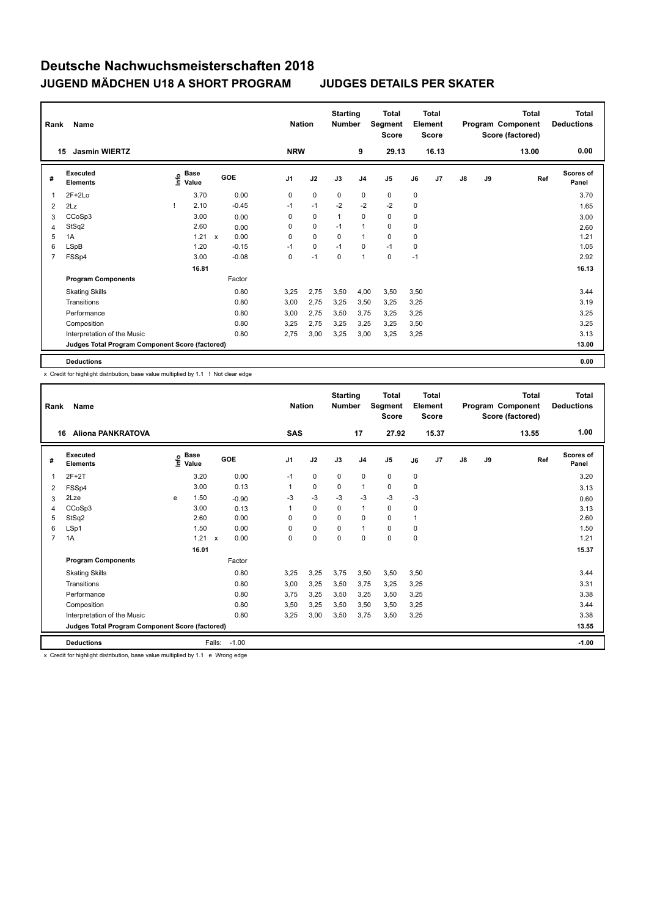| Rank           | Name                                            |                              |                      | <b>Nation</b>  |             | <b>Starting</b><br><b>Number</b> |                | <b>Total</b><br>Segment<br><b>Score</b> |      | <b>Total</b><br>Element<br><b>Score</b> |               |    | <b>Total</b><br>Program Component<br>Score (factored) | <b>Total</b><br><b>Deductions</b> |
|----------------|-------------------------------------------------|------------------------------|----------------------|----------------|-------------|----------------------------------|----------------|-----------------------------------------|------|-----------------------------------------|---------------|----|-------------------------------------------------------|-----------------------------------|
|                | <b>Jasmin WIERTZ</b><br>15                      |                              |                      | <b>NRW</b>     |             |                                  | 9              | 29.13                                   |      | 16.13                                   |               |    | 13.00                                                 | 0.00                              |
| #              | Executed<br><b>Elements</b>                     | <b>Base</b><br>lnfo<br>Value | GOE                  | J <sub>1</sub> | J2          | J3                               | J <sub>4</sub> | J <sub>5</sub>                          | J6   | J <sub>7</sub>                          | $\mathsf{J}8$ | J9 | Ref                                                   | <b>Scores of</b><br>Panel         |
| 1              | $2F+2Lo$                                        | 3.70                         | 0.00                 | 0              | $\mathbf 0$ | 0                                | 0              | $\mathbf 0$                             | 0    |                                         |               |    |                                                       | 3.70                              |
| 2              | 2Lz                                             | 2.10                         | $-0.45$              | $-1$           | $-1$        | $-2$                             | $-2$           | $-2$                                    | 0    |                                         |               |    |                                                       | 1.65                              |
| 3              | CCoSp3                                          | 3.00                         | 0.00                 | 0              | $\mathbf 0$ | $\overline{1}$                   | $\mathbf 0$    | 0                                       | 0    |                                         |               |    |                                                       | 3.00                              |
| 4              | StSq2                                           | 2.60                         | 0.00                 | 0              | 0           | $-1$                             | $\mathbf{1}$   | 0                                       | 0    |                                         |               |    |                                                       | 2.60                              |
| 5              | 1A                                              | 1.21                         | 0.00<br>$\mathsf{x}$ | 0              | $\mathbf 0$ | $\Omega$                         | $\overline{1}$ | $\mathbf 0$                             | 0    |                                         |               |    |                                                       | 1.21                              |
| 6              | LSpB                                            | 1.20                         | $-0.15$              | $-1$           | 0           | $-1$                             | 0              | $-1$                                    | 0    |                                         |               |    |                                                       | 1.05                              |
| $\overline{7}$ | FSSp4                                           | 3.00                         | $-0.08$              | 0              | $-1$        | 0                                | $\mathbf{1}$   | $\mathbf 0$                             | $-1$ |                                         |               |    |                                                       | 2.92                              |
|                |                                                 | 16.81                        |                      |                |             |                                  |                |                                         |      |                                         |               |    |                                                       | 16.13                             |
|                | <b>Program Components</b>                       |                              | Factor               |                |             |                                  |                |                                         |      |                                         |               |    |                                                       |                                   |
|                | <b>Skating Skills</b>                           |                              | 0.80                 | 3.25           | 2,75        | 3,50                             | 4,00           | 3,50                                    | 3,50 |                                         |               |    |                                                       | 3.44                              |
|                | Transitions                                     |                              | 0.80                 | 3,00           | 2,75        | 3,25                             | 3,50           | 3,25                                    | 3,25 |                                         |               |    |                                                       | 3.19                              |
|                | Performance                                     |                              | 0.80                 | 3,00           | 2,75        | 3,50                             | 3,75           | 3,25                                    | 3,25 |                                         |               |    |                                                       | 3.25                              |
|                | Composition                                     |                              | 0.80                 | 3,25           | 2,75        | 3,25                             | 3,25           | 3,25                                    | 3,50 |                                         |               |    |                                                       | 3.25                              |
|                | Interpretation of the Music                     |                              | 0.80                 | 2,75           | 3,00        | 3,25                             | 3,00           | 3,25                                    | 3,25 |                                         |               |    |                                                       | 3.13                              |
|                | Judges Total Program Component Score (factored) |                              |                      |                |             |                                  |                |                                         |      |                                         |               |    |                                                       | 13.00                             |
|                | <b>Deductions</b>                               |                              |                      |                |             |                                  |                |                                         |      |                                         |               |    |                                                       | 0.00                              |

x Credit for highlight distribution, base value multiplied by 1.1 ! Not clear edge

| Rank           | Name                                            |   |                                    |              |            |                | <b>Nation</b> | <b>Starting</b><br><b>Number</b> |                | Total<br>Segment<br><b>Score</b> |             | Total<br>Element<br><b>Score</b> |               |    | Total<br>Program Component<br>Score (factored) | <b>Total</b><br><b>Deductions</b> |
|----------------|-------------------------------------------------|---|------------------------------------|--------------|------------|----------------|---------------|----------------------------------|----------------|----------------------------------|-------------|----------------------------------|---------------|----|------------------------------------------------|-----------------------------------|
|                | <b>Aliona PANKRATOVA</b><br>16                  |   |                                    |              |            | <b>SAS</b>     |               |                                  | 17             | 27.92                            |             | 15.37                            |               |    | 13.55                                          | 1.00                              |
| #              | Executed<br><b>Elements</b>                     |   | <b>Base</b><br>$\frac{6}{5}$ Value |              | <b>GOE</b> | J <sub>1</sub> | J2            | J3                               | J <sub>4</sub> | J <sub>5</sub>                   | J6          | J7                               | $\mathsf{J}8$ | J9 | Ref                                            | <b>Scores of</b><br>Panel         |
| 1              | $2F+2T$                                         |   | 3.20                               |              | 0.00       | $-1$           | $\mathbf 0$   | $\mathbf 0$                      | $\mathbf 0$    | $\mathbf 0$                      | $\mathbf 0$ |                                  |               |    |                                                | 3.20                              |
| 2              | FSSp4                                           |   | 3.00                               |              | 0.13       | 1              | 0             | 0                                | $\mathbf{1}$   | 0                                | 0           |                                  |               |    |                                                | 3.13                              |
| 3              | 2Lze                                            | е | 1.50                               |              | $-0.90$    | -3             | $-3$          | $-3$                             | $-3$           | $-3$                             | $-3$        |                                  |               |    |                                                | 0.60                              |
| 4              | CCoSp3                                          |   | 3.00                               |              | 0.13       | 1              | $\mathbf 0$   | 0                                | $\mathbf{1}$   | 0                                | 0           |                                  |               |    |                                                | 3.13                              |
| 5              | StSq2                                           |   | 2.60                               |              | 0.00       | $\Omega$       | $\mathbf 0$   | $\Omega$                         | 0              | 0                                | 1           |                                  |               |    |                                                | 2.60                              |
| 6              | LSp1                                            |   | 1.50                               |              | 0.00       | $\Omega$       | $\mathbf 0$   | $\Omega$                         | $\mathbf{1}$   | 0                                | 0           |                                  |               |    |                                                | 1.50                              |
| $\overline{7}$ | 1A                                              |   | 1.21                               | $\mathsf{x}$ | 0.00       | $\Omega$       | $\mathbf 0$   | $\Omega$                         | $\Omega$       | $\Omega$                         | $\Omega$    |                                  |               |    |                                                | 1.21                              |
|                |                                                 |   | 16.01                              |              |            |                |               |                                  |                |                                  |             |                                  |               |    |                                                | 15.37                             |
|                | <b>Program Components</b>                       |   |                                    |              | Factor     |                |               |                                  |                |                                  |             |                                  |               |    |                                                |                                   |
|                | <b>Skating Skills</b>                           |   |                                    |              | 0.80       | 3.25           | 3,25          | 3.75                             | 3,50           | 3,50                             | 3.50        |                                  |               |    |                                                | 3.44                              |
|                | Transitions                                     |   |                                    |              | 0.80       | 3,00           | 3,25          | 3,50                             | 3,75           | 3,25                             | 3,25        |                                  |               |    |                                                | 3.31                              |
|                | Performance                                     |   |                                    |              | 0.80       | 3.75           | 3,25          | 3,50                             | 3,25           | 3,50                             | 3,25        |                                  |               |    |                                                | 3.38                              |
|                | Composition                                     |   |                                    |              | 0.80       | 3,50           | 3,25          | 3,50                             | 3,50           | 3,50                             | 3,25        |                                  |               |    |                                                | 3.44                              |
|                | Interpretation of the Music                     |   |                                    |              | 0.80       | 3,25           | 3,00          | 3,50                             | 3,75           | 3,50                             | 3,25        |                                  |               |    |                                                | 3.38                              |
|                | Judges Total Program Component Score (factored) |   |                                    |              |            |                |               |                                  |                |                                  |             |                                  |               |    |                                                | 13.55                             |
|                | <b>Deductions</b>                               |   |                                    | Falls:       | $-1.00$    |                |               |                                  |                |                                  |             |                                  |               |    |                                                | $-1.00$                           |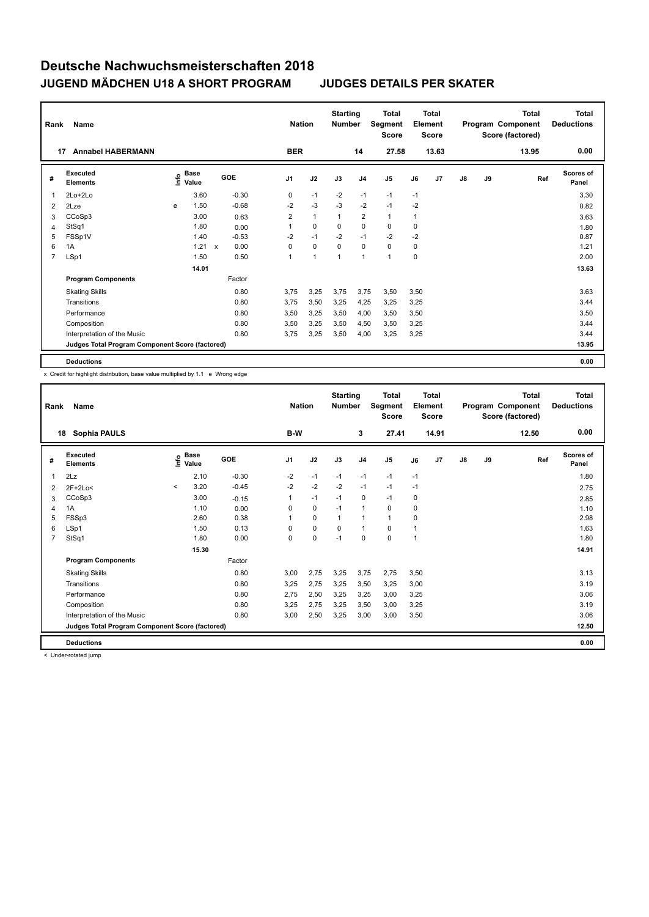| Rank           | Name                                            |   |                                    |              |         |                | <b>Nation</b> | <b>Starting</b><br><b>Number</b> |                         | <b>Total</b><br>Segment<br><b>Score</b> |      | <b>Total</b><br>Element<br><b>Score</b> |    |    | <b>Total</b><br>Program Component<br>Score (factored) | <b>Total</b><br><b>Deductions</b> |
|----------------|-------------------------------------------------|---|------------------------------------|--------------|---------|----------------|---------------|----------------------------------|-------------------------|-----------------------------------------|------|-----------------------------------------|----|----|-------------------------------------------------------|-----------------------------------|
|                | <b>Annabel HABERMANN</b><br>17                  |   |                                    |              |         | <b>BER</b>     |               |                                  | 14                      | 27.58                                   |      | 13.63                                   |    |    | 13.95                                                 | 0.00                              |
| #              | Executed<br><b>Elements</b>                     |   | <b>Base</b><br>$\frac{6}{5}$ Value |              | GOE     | J <sub>1</sub> | J2            | J3                               | J <sub>4</sub>          | J <sub>5</sub>                          | J6   | J <sub>7</sub>                          | J8 | J9 | Ref                                                   | <b>Scores of</b><br>Panel         |
| 1              | $2Lo+2Lo$                                       |   | 3.60                               |              | $-0.30$ | 0              | $-1$          | $-2$                             | $-1$                    | $-1$                                    | $-1$ |                                         |    |    |                                                       | 3.30                              |
| 2              | 2Lze                                            | e | 1.50                               |              | $-0.68$ | $-2$           | $-3$          | $-3$                             | $-2$                    | $-1$                                    | $-2$ |                                         |    |    |                                                       | 0.82                              |
| 3              | CCoSp3                                          |   | 3.00                               |              | 0.63    | 2              | $\mathbf{1}$  | $\mathbf{1}$                     | $\overline{\mathbf{c}}$ | 1                                       | 1    |                                         |    |    |                                                       | 3.63                              |
| 4              | StSq1                                           |   | 1.80                               |              | 0.00    |                | $\mathbf 0$   | 0                                | $\mathbf 0$             | $\mathbf 0$                             | 0    |                                         |    |    |                                                       | 1.80                              |
| 5              | FSSp1V                                          |   | 1.40                               |              | $-0.53$ | $-2$           | $-1$          | $-2$                             | $-1$                    | $-2$                                    | $-2$ |                                         |    |    |                                                       | 0.87                              |
| 6              | 1A                                              |   | 1.21                               | $\mathbf{x}$ | 0.00    | $\Omega$       | $\mathbf 0$   | $\Omega$                         | 0                       | 0                                       | 0    |                                         |    |    |                                                       | 1.21                              |
| $\overline{7}$ | LSp1                                            |   | 1.50                               |              | 0.50    | 1              | 1             | $\mathbf{1}$                     | $\mathbf{1}$            | 1                                       | 0    |                                         |    |    |                                                       | 2.00                              |
|                |                                                 |   | 14.01                              |              |         |                |               |                                  |                         |                                         |      |                                         |    |    |                                                       | 13.63                             |
|                | <b>Program Components</b>                       |   |                                    |              | Factor  |                |               |                                  |                         |                                         |      |                                         |    |    |                                                       |                                   |
|                | <b>Skating Skills</b>                           |   |                                    |              | 0.80    | 3.75           | 3,25          | 3.75                             | 3.75                    | 3,50                                    | 3,50 |                                         |    |    |                                                       | 3.63                              |
|                | Transitions                                     |   |                                    |              | 0.80    | 3,75           | 3,50          | 3,25                             | 4,25                    | 3,25                                    | 3,25 |                                         |    |    |                                                       | 3.44                              |
|                | Performance                                     |   |                                    |              | 0.80    | 3,50           | 3,25          | 3,50                             | 4,00                    | 3,50                                    | 3,50 |                                         |    |    |                                                       | 3.50                              |
|                | Composition                                     |   |                                    |              | 0.80    | 3,50           | 3,25          | 3,50                             | 4,50                    | 3,50                                    | 3,25 |                                         |    |    |                                                       | 3.44                              |
|                | Interpretation of the Music                     |   |                                    |              | 0.80    | 3,75           | 3,25          | 3,50                             | 4,00                    | 3,25                                    | 3,25 |                                         |    |    |                                                       | 3.44                              |
|                | Judges Total Program Component Score (factored) |   |                                    |              |         |                |               |                                  |                         |                                         |      |                                         |    |    |                                                       | 13.95                             |
|                | <b>Deductions</b>                               |   |                                    |              |         |                |               |                                  |                         |                                         |      |                                         |    |    |                                                       | 0.00                              |

x Credit for highlight distribution, base value multiplied by 1.1 e Wrong edge

| Rank           | <b>Name</b>                                     |         |                                  |         | <b>Nation</b>  |             | <b>Starting</b><br><b>Number</b> |                | Total<br>Segment<br><b>Score</b> |      | Total<br>Element<br><b>Score</b> |               |    | Total<br>Program Component<br>Score (factored) | <b>Total</b><br><b>Deductions</b> |
|----------------|-------------------------------------------------|---------|----------------------------------|---------|----------------|-------------|----------------------------------|----------------|----------------------------------|------|----------------------------------|---------------|----|------------------------------------------------|-----------------------------------|
|                | Sophia PAULS<br>18                              |         |                                  |         | B-W            |             |                                  | 3              | 27.41                            |      | 14.91                            |               |    | 12.50                                          | 0.00                              |
| #              | Executed<br><b>Elements</b>                     |         | <b>Base</b><br>e Base<br>⊆ Value | GOE     | J <sub>1</sub> | J2          | J3                               | J <sub>4</sub> | J5                               | J6   | J <sub>7</sub>                   | $\mathsf{J}8$ | J9 | Ref                                            | <b>Scores of</b><br>Panel         |
| 1              | 2Lz                                             |         | 2.10                             | $-0.30$ | $-2$           | $-1$        | $-1$                             | $-1$           | $-1$                             | $-1$ |                                  |               |    |                                                | 1.80                              |
| 2              | $2F+2Lo<$                                       | $\prec$ | 3.20                             | $-0.45$ | $-2$           | $-2$        | $-2$                             | $-1$           | $-1$                             | $-1$ |                                  |               |    |                                                | 2.75                              |
| 3              | CCoSp3                                          |         | 3.00                             | $-0.15$ | 1              | $-1$        | $-1$                             | $\mathbf 0$    | $-1$                             | 0    |                                  |               |    |                                                | 2.85                              |
| 4              | 1A                                              |         | 1.10                             | 0.00    | 0              | $\mathbf 0$ | $-1$                             | $\mathbf{1}$   | 0                                | 0    |                                  |               |    |                                                | 1.10                              |
| 5              | FSSp3                                           |         | 2.60                             | 0.38    | 1              | $\mathbf 0$ | $\mathbf{1}$                     | $\mathbf{1}$   | $\mathbf{1}$                     | 0    |                                  |               |    |                                                | 2.98                              |
| 6              | LSp1                                            |         | 1.50                             | 0.13    | $\Omega$       | $\mathbf 0$ | $\Omega$                         | $\mathbf{1}$   | $\Omega$                         | 1    |                                  |               |    |                                                | 1.63                              |
| $\overline{7}$ | StSq1                                           |         | 1.80                             | 0.00    | 0              | $\pmb{0}$   | $-1$                             | $\mathbf 0$    | 0                                | 1    |                                  |               |    |                                                | 1.80                              |
|                |                                                 |         | 15.30                            |         |                |             |                                  |                |                                  |      |                                  |               |    |                                                | 14.91                             |
|                | <b>Program Components</b>                       |         |                                  | Factor  |                |             |                                  |                |                                  |      |                                  |               |    |                                                |                                   |
|                | <b>Skating Skills</b>                           |         |                                  | 0.80    | 3.00           | 2,75        | 3,25                             | 3,75           | 2,75                             | 3,50 |                                  |               |    |                                                | 3.13                              |
|                | Transitions                                     |         |                                  | 0.80    | 3,25           | 2,75        | 3,25                             | 3,50           | 3,25                             | 3,00 |                                  |               |    |                                                | 3.19                              |
|                | Performance                                     |         |                                  | 0.80    | 2.75           | 2,50        | 3,25                             | 3,25           | 3,00                             | 3,25 |                                  |               |    |                                                | 3.06                              |
|                | Composition                                     |         |                                  | 0.80    | 3,25           | 2,75        | 3,25                             | 3,50           | 3,00                             | 3,25 |                                  |               |    |                                                | 3.19                              |
|                | Interpretation of the Music                     |         |                                  | 0.80    | 3,00           | 2,50        | 3,25                             | 3,00           | 3,00                             | 3,50 |                                  |               |    |                                                | 3.06                              |
|                | Judges Total Program Component Score (factored) |         |                                  |         |                |             |                                  |                |                                  |      |                                  |               |    |                                                | 12.50                             |
|                | <b>Deductions</b>                               |         |                                  |         |                |             |                                  |                |                                  |      |                                  |               |    |                                                | 0.00                              |

< Under-rotated jump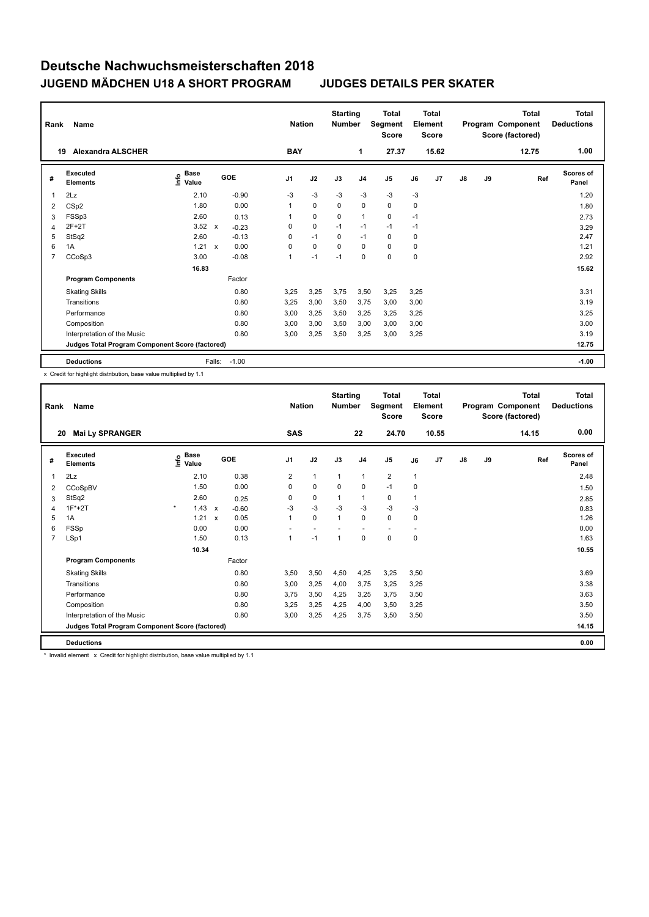| Rank           | Name                                            |                                  |              |         |                | <b>Nation</b> | <b>Starting</b><br><b>Number</b> |                | <b>Total</b><br>Segment<br><b>Score</b> |      | <b>Total</b><br>Element<br><b>Score</b> |    |    | <b>Total</b><br>Program Component<br>Score (factored) | <b>Total</b><br><b>Deductions</b> |
|----------------|-------------------------------------------------|----------------------------------|--------------|---------|----------------|---------------|----------------------------------|----------------|-----------------------------------------|------|-----------------------------------------|----|----|-------------------------------------------------------|-----------------------------------|
|                | <b>Alexandra ALSCHER</b><br>19                  |                                  |              |         | <b>BAY</b>     |               |                                  | 1              | 27.37                                   |      | 15.62                                   |    |    | 12.75                                                 | 1.00                              |
| #              | Executed<br><b>Elements</b>                     | <b>Base</b><br>o Base<br>⊆ Value |              | GOE     | J <sub>1</sub> | J2            | J3                               | J <sub>4</sub> | J <sub>5</sub>                          | J6   | J7                                      | J8 | J9 | Ref                                                   | <b>Scores of</b><br>Panel         |
| 1              | 2Lz                                             | 2.10                             |              | $-0.90$ | $-3$           | $-3$          | $-3$                             | $-3$           | $-3$                                    | $-3$ |                                         |    |    |                                                       | 1.20                              |
| 2              | CSp2                                            | 1.80                             |              | 0.00    | 1              | $\mathbf 0$   | $\mathbf 0$                      | 0              | $\mathbf 0$                             | 0    |                                         |    |    |                                                       | 1.80                              |
| 3              | FSSp3                                           | 2.60                             |              | 0.13    | 1              | $\mathbf 0$   | $\Omega$                         | $\mathbf{1}$   | 0                                       | $-1$ |                                         |    |    |                                                       | 2.73                              |
| 4              | $2F+2T$                                         | 3.52                             | $\mathsf{x}$ | $-0.23$ | 0              | $\mathbf 0$   | $-1$                             | $-1$           | $-1$                                    | $-1$ |                                         |    |    |                                                       | 3.29                              |
| 5              | StSq2                                           | 2.60                             |              | $-0.13$ | 0              | $-1$          | $\mathbf 0$                      | $-1$           | $\mathbf 0$                             | 0    |                                         |    |    |                                                       | 2.47                              |
| 6              | 1A                                              | 1.21                             | $\mathbf{x}$ | 0.00    | 0              | 0             | 0                                | 0              | 0                                       | 0    |                                         |    |    |                                                       | 1.21                              |
| $\overline{7}$ | CCoSp3                                          | 3.00                             |              | $-0.08$ | 1              | $-1$          | $-1$                             | $\mathbf 0$    | $\mathbf 0$                             | 0    |                                         |    |    |                                                       | 2.92                              |
|                |                                                 | 16.83                            |              |         |                |               |                                  |                |                                         |      |                                         |    |    |                                                       | 15.62                             |
|                | <b>Program Components</b>                       |                                  |              | Factor  |                |               |                                  |                |                                         |      |                                         |    |    |                                                       |                                   |
|                | <b>Skating Skills</b>                           |                                  |              | 0.80    | 3,25           | 3,25          | 3,75                             | 3,50           | 3,25                                    | 3,25 |                                         |    |    |                                                       | 3.31                              |
|                | Transitions                                     |                                  |              | 0.80    | 3,25           | 3,00          | 3,50                             | 3,75           | 3,00                                    | 3,00 |                                         |    |    |                                                       | 3.19                              |
|                | Performance                                     |                                  |              | 0.80    | 3,00           | 3,25          | 3,50                             | 3,25           | 3,25                                    | 3,25 |                                         |    |    |                                                       | 3.25                              |
|                | Composition                                     |                                  |              | 0.80    | 3,00           | 3,00          | 3,50                             | 3,00           | 3,00                                    | 3,00 |                                         |    |    |                                                       | 3.00                              |
|                | Interpretation of the Music                     |                                  |              | 0.80    | 3,00           | 3,25          | 3,50                             | 3,25           | 3,00                                    | 3,25 |                                         |    |    |                                                       | 3.19                              |
|                | Judges Total Program Component Score (factored) |                                  |              |         |                |               |                                  |                |                                         |      |                                         |    |    |                                                       | 12.75                             |
|                | <b>Deductions</b>                               |                                  | Falls:       | $-1.00$ |                |               |                                  |                |                                         |      |                                         |    |    |                                                       | $-1.00$                           |

x Credit for highlight distribution, base value multiplied by 1.1

| Rank           | Name                                            |         |                                  |                           |         | <b>Nation</b>  |              | <b>Starting</b><br><b>Number</b> |                | <b>Total</b><br>Segment<br><b>Score</b> |      | Total<br>Element<br><b>Score</b> |               |    | <b>Total</b><br>Program Component<br>Score (factored) | <b>Total</b><br><b>Deductions</b> |
|----------------|-------------------------------------------------|---------|----------------------------------|---------------------------|---------|----------------|--------------|----------------------------------|----------------|-----------------------------------------|------|----------------------------------|---------------|----|-------------------------------------------------------|-----------------------------------|
| 20             | <b>Mai Ly SPRANGER</b>                          |         |                                  |                           |         | <b>SAS</b>     |              |                                  | 22             | 24.70                                   |      | 10.55                            |               |    | 14.15                                                 | 0.00                              |
| #              | Executed<br><b>Elements</b>                     |         | <b>Base</b><br>e Base<br>⊆ Value |                           | GOE     | J1             | J2           | J3                               | J <sub>4</sub> | J5                                      | J6   | J7                               | $\mathsf{J}8$ | J9 | Ref                                                   | <b>Scores of</b><br>Panel         |
| 1              | 2Lz                                             |         | 2.10                             |                           | 0.38    | $\overline{2}$ | $\mathbf{1}$ | $\mathbf{1}$                     | $\mathbf{1}$   | $\overline{2}$                          | 1    |                                  |               |    |                                                       | 2.48                              |
| 2              | CCoSpBV                                         |         | 1.50                             |                           | 0.00    | 0              | $\mathbf 0$  | $\mathbf 0$                      | $\mathbf 0$    | $-1$                                    | 0    |                                  |               |    |                                                       | 1.50                              |
| 3              | StSq2                                           |         | 2.60                             |                           | 0.25    | 0              | $\mathbf 0$  | $\mathbf{1}$                     | $\mathbf{1}$   | 0                                       | 1    |                                  |               |    |                                                       | 2.85                              |
| 4              | $1F*+2T$                                        | $\star$ | 1.43                             | $\boldsymbol{\mathsf{x}}$ | $-0.60$ | $-3$           | $-3$         | $-3$                             | $-3$           | $-3$                                    | $-3$ |                                  |               |    |                                                       | 0.83                              |
| 5              | 1A                                              |         | 1.21                             | $\boldsymbol{\mathsf{x}}$ | 0.05    | $\mathbf{1}$   | $\mathbf 0$  | $\mathbf{1}$                     | 0              | 0                                       | 0    |                                  |               |    |                                                       | 1.26                              |
| 6              | FSSp                                            |         | 0.00                             |                           | 0.00    |                |              |                                  |                | $\sim$                                  |      |                                  |               |    |                                                       | 0.00                              |
| $\overline{7}$ | LSp1                                            |         | 1.50                             |                           | 0.13    | 1              | $-1$         | 1                                | $\mathbf 0$    | 0                                       | 0    |                                  |               |    |                                                       | 1.63                              |
|                |                                                 |         | 10.34                            |                           |         |                |              |                                  |                |                                         |      |                                  |               |    |                                                       | 10.55                             |
|                | <b>Program Components</b>                       |         |                                  |                           | Factor  |                |              |                                  |                |                                         |      |                                  |               |    |                                                       |                                   |
|                | <b>Skating Skills</b>                           |         |                                  |                           | 0.80    | 3.50           | 3,50         | 4,50                             | 4,25           | 3,25                                    | 3.50 |                                  |               |    |                                                       | 3.69                              |
|                | Transitions                                     |         |                                  |                           | 0.80    | 3.00           | 3,25         | 4.00                             | 3.75           | 3,25                                    | 3,25 |                                  |               |    |                                                       | 3.38                              |
|                | Performance                                     |         |                                  |                           | 0.80    | 3.75           | 3,50         | 4.25                             | 3,25           | 3,75                                    | 3,50 |                                  |               |    |                                                       | 3.63                              |
|                | Composition                                     |         |                                  |                           | 0.80    | 3.25           | 3,25         | 4.25                             | 4,00           | 3,50                                    | 3,25 |                                  |               |    |                                                       | 3.50                              |
|                | Interpretation of the Music                     |         |                                  |                           | 0.80    | 3,00           | 3,25         | 4,25                             | 3,75           | 3,50                                    | 3,50 |                                  |               |    |                                                       | 3.50                              |
|                | Judges Total Program Component Score (factored) |         |                                  |                           |         |                |              |                                  |                |                                         |      |                                  |               |    |                                                       | 14.15                             |
|                | <b>Deductions</b>                               |         |                                  |                           |         |                |              |                                  |                |                                         |      |                                  |               |    |                                                       | 0.00                              |

\* Invalid element x Credit for highlight distribution, base value multiplied by 1.1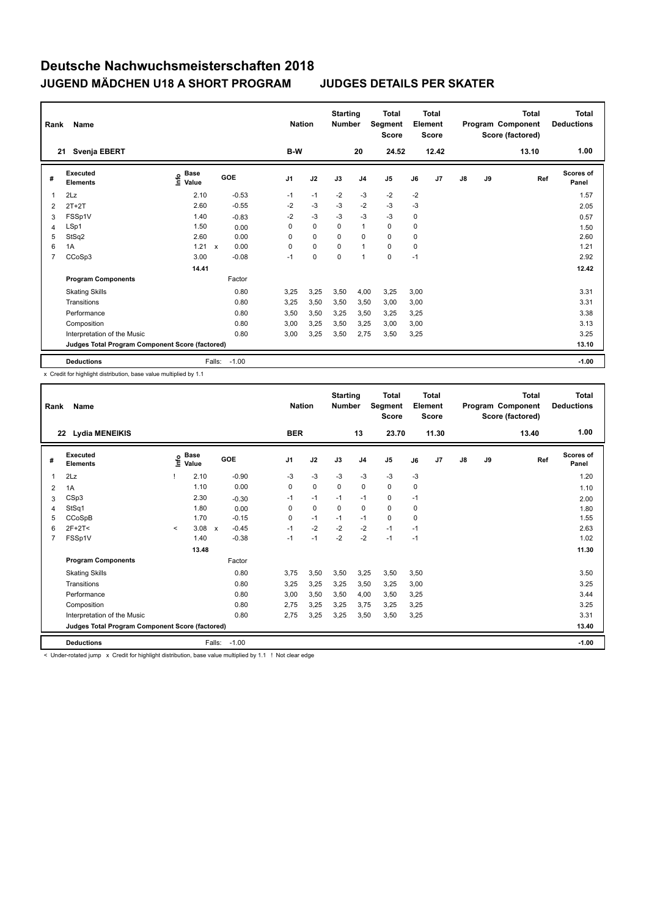| Rank           | Name                                            |                                  |                           |         | <b>Nation</b>  |             | <b>Starting</b><br><b>Number</b> |                | <b>Total</b><br>Segment<br><b>Score</b> |      | <b>Total</b><br>Element<br><b>Score</b> |    |    | <b>Total</b><br>Program Component<br>Score (factored) | <b>Total</b><br><b>Deductions</b> |
|----------------|-------------------------------------------------|----------------------------------|---------------------------|---------|----------------|-------------|----------------------------------|----------------|-----------------------------------------|------|-----------------------------------------|----|----|-------------------------------------------------------|-----------------------------------|
|                | Svenja EBERT<br>21                              |                                  |                           |         | B-W            |             |                                  | 20             | 24.52                                   |      | 12.42                                   |    |    | 13.10                                                 | 1.00                              |
| #              | Executed<br><b>Elements</b>                     | <b>Base</b><br>o Base<br>⊆ Value | GOE                       |         | J <sub>1</sub> | J2          | J3                               | J <sub>4</sub> | J <sub>5</sub>                          | J6   | J7                                      | J8 | J9 | Ref                                                   | <b>Scores of</b><br>Panel         |
| 1              | 2Lz                                             | 2.10                             |                           | $-0.53$ | $-1$           | $-1$        | $-2$                             | $-3$           | $-2$                                    | $-2$ |                                         |    |    |                                                       | 1.57                              |
| 2              | $2T+2T$                                         | 2.60                             |                           | $-0.55$ | $-2$           | $-3$        | $-3$                             | $-2$           | $-3$                                    | $-3$ |                                         |    |    |                                                       | 2.05                              |
| 3              | FSSp1V                                          | 1.40                             |                           | $-0.83$ | $-2$           | $-3$        | -3                               | $-3$           | $-3$                                    | 0    |                                         |    |    |                                                       | 0.57                              |
| 4              | LSp1                                            | 1.50                             |                           | 0.00    | 0              | $\mathbf 0$ | $\mathbf 0$                      | $\mathbf{1}$   | $\mathbf 0$                             | 0    |                                         |    |    |                                                       | 1.50                              |
| 5              | StSq2                                           | 2.60                             |                           | 0.00    | 0              | $\mathbf 0$ | 0                                | 0              | 0                                       | 0    |                                         |    |    |                                                       | 2.60                              |
| 6              | 1A                                              | 1.21                             | $\boldsymbol{\mathsf{x}}$ | 0.00    | 0              | $\pmb{0}$   | 0                                | $\mathbf{1}$   | 0                                       | 0    |                                         |    |    |                                                       | 1.21                              |
| $\overline{7}$ | CCoSp3                                          | 3.00                             |                           | $-0.08$ | $-1$           | $\pmb{0}$   | $\mathbf 0$                      | $\mathbf{1}$   | $\mathbf 0$                             | $-1$ |                                         |    |    |                                                       | 2.92                              |
|                |                                                 | 14.41                            |                           |         |                |             |                                  |                |                                         |      |                                         |    |    |                                                       | 12.42                             |
|                | <b>Program Components</b>                       |                                  | Factor                    |         |                |             |                                  |                |                                         |      |                                         |    |    |                                                       |                                   |
|                | <b>Skating Skills</b>                           |                                  |                           | 0.80    | 3,25           | 3,25        | 3,50                             | 4,00           | 3,25                                    | 3,00 |                                         |    |    |                                                       | 3.31                              |
|                | Transitions                                     |                                  |                           | 0.80    | 3,25           | 3,50        | 3,50                             | 3,50           | 3,00                                    | 3,00 |                                         |    |    |                                                       | 3.31                              |
|                | Performance                                     |                                  |                           | 0.80    | 3,50           | 3,50        | 3,25                             | 3,50           | 3,25                                    | 3,25 |                                         |    |    |                                                       | 3.38                              |
|                | Composition                                     |                                  |                           | 0.80    | 3,00           | 3,25        | 3,50                             | 3,25           | 3,00                                    | 3,00 |                                         |    |    |                                                       | 3.13                              |
|                | Interpretation of the Music                     |                                  |                           | 0.80    | 3,00           | 3,25        | 3,50                             | 2,75           | 3,50                                    | 3,25 |                                         |    |    |                                                       | 3.25                              |
|                | Judges Total Program Component Score (factored) |                                  |                           |         |                |             |                                  |                |                                         |      |                                         |    |    |                                                       | 13.10                             |
|                | <b>Deductions</b>                               | Falls:                           | $-1.00$                   |         |                |             |                                  |                |                                         |      |                                         |    |    |                                                       | $-1.00$                           |

x Credit for highlight distribution, base value multiplied by 1.1

| Rank         | Name                                            |         |                      |              |         |                | <b>Nation</b> | <b>Starting</b><br><b>Number</b> |                | Total<br>Segment<br><b>Score</b> |      | Total<br>Element<br><b>Score</b> |               |    | Total<br>Program Component<br>Score (factored) | <b>Total</b><br><b>Deductions</b> |
|--------------|-------------------------------------------------|---------|----------------------|--------------|---------|----------------|---------------|----------------------------------|----------------|----------------------------------|------|----------------------------------|---------------|----|------------------------------------------------|-----------------------------------|
|              | Lydia MENEIKIS<br>22                            |         |                      |              |         | <b>BER</b>     |               |                                  | 13             | 23.70                            |      | 11.30                            |               |    | 13.40                                          | 1.00                              |
| #            | Executed<br><b>Elements</b>                     | Life    | <b>Base</b><br>Value |              | GOE     | J <sub>1</sub> | J2            | J3                               | J <sub>4</sub> | J5                               | J6   | J <sub>7</sub>                   | $\mathsf{J}8$ | J9 | Ref                                            | <b>Scores of</b><br>Panel         |
| $\mathbf{1}$ | 2Lz                                             |         | 2.10                 |              | $-0.90$ | $-3$           | $-3$          | $-3$                             | $-3$           | $-3$                             | $-3$ |                                  |               |    |                                                | 1.20                              |
| 2            | 1A                                              |         | 1.10                 |              | 0.00    | 0              | $\mathbf 0$   | $\mathbf 0$                      | $\mathbf 0$    | 0                                | 0    |                                  |               |    |                                                | 1.10                              |
| 3            | CSp3                                            |         | 2.30                 |              | $-0.30$ | $-1$           | $-1$          | $-1$                             | $-1$           | 0                                | $-1$ |                                  |               |    |                                                | 2.00                              |
| 4            | StSq1                                           |         | 1.80                 |              | 0.00    | $\Omega$       | $\Omega$      | $\Omega$                         | $\Omega$       | $\Omega$                         | 0    |                                  |               |    |                                                | 1.80                              |
| 5            | CCoSpB                                          |         | 1.70                 |              | $-0.15$ | 0              | $-1$          | $-1$                             | $-1$           | 0                                | 0    |                                  |               |    |                                                | 1.55                              |
| 6            | $2F+2T<$                                        | $\prec$ | 3.08                 | $\mathsf{x}$ | $-0.45$ | $-1$           | $-2$          | $-2$                             | $-2$           | $-1$                             | $-1$ |                                  |               |    |                                                | 2.63                              |
| 7            | FSSp1V                                          |         | 1.40                 |              | $-0.38$ | $-1$           | $-1$          | $-2$                             | $-2$           | $-1$                             | $-1$ |                                  |               |    |                                                | 1.02                              |
|              |                                                 |         | 13.48                |              |         |                |               |                                  |                |                                  |      |                                  |               |    |                                                | 11.30                             |
|              | <b>Program Components</b>                       |         |                      |              | Factor  |                |               |                                  |                |                                  |      |                                  |               |    |                                                |                                   |
|              | <b>Skating Skills</b>                           |         |                      |              | 0.80    | 3.75           | 3,50          | 3,50                             | 3,25           | 3,50                             | 3,50 |                                  |               |    |                                                | 3.50                              |
|              | Transitions                                     |         |                      |              | 0.80    | 3,25           | 3,25          | 3,25                             | 3,50           | 3,25                             | 3,00 |                                  |               |    |                                                | 3.25                              |
|              | Performance                                     |         |                      |              | 0.80    | 3,00           | 3,50          | 3,50                             | 4,00           | 3,50                             | 3,25 |                                  |               |    |                                                | 3.44                              |
|              | Composition                                     |         |                      |              | 0.80    | 2.75           | 3,25          | 3,25                             | 3,75           | 3,25                             | 3,25 |                                  |               |    |                                                | 3.25                              |
|              | Interpretation of the Music                     |         |                      |              | 0.80    | 2.75           | 3,25          | 3,25                             | 3,50           | 3,50                             | 3,25 |                                  |               |    |                                                | 3.31                              |
|              | Judges Total Program Component Score (factored) |         |                      |              |         |                |               |                                  |                |                                  |      |                                  |               |    |                                                | 13.40                             |
|              | <b>Deductions</b>                               |         |                      | Falls:       | $-1.00$ |                |               |                                  |                |                                  |      |                                  |               |    |                                                | $-1.00$                           |

< Under-rotated jump x Credit for highlight distribution, base value multiplied by 1.1 ! Not clear edge